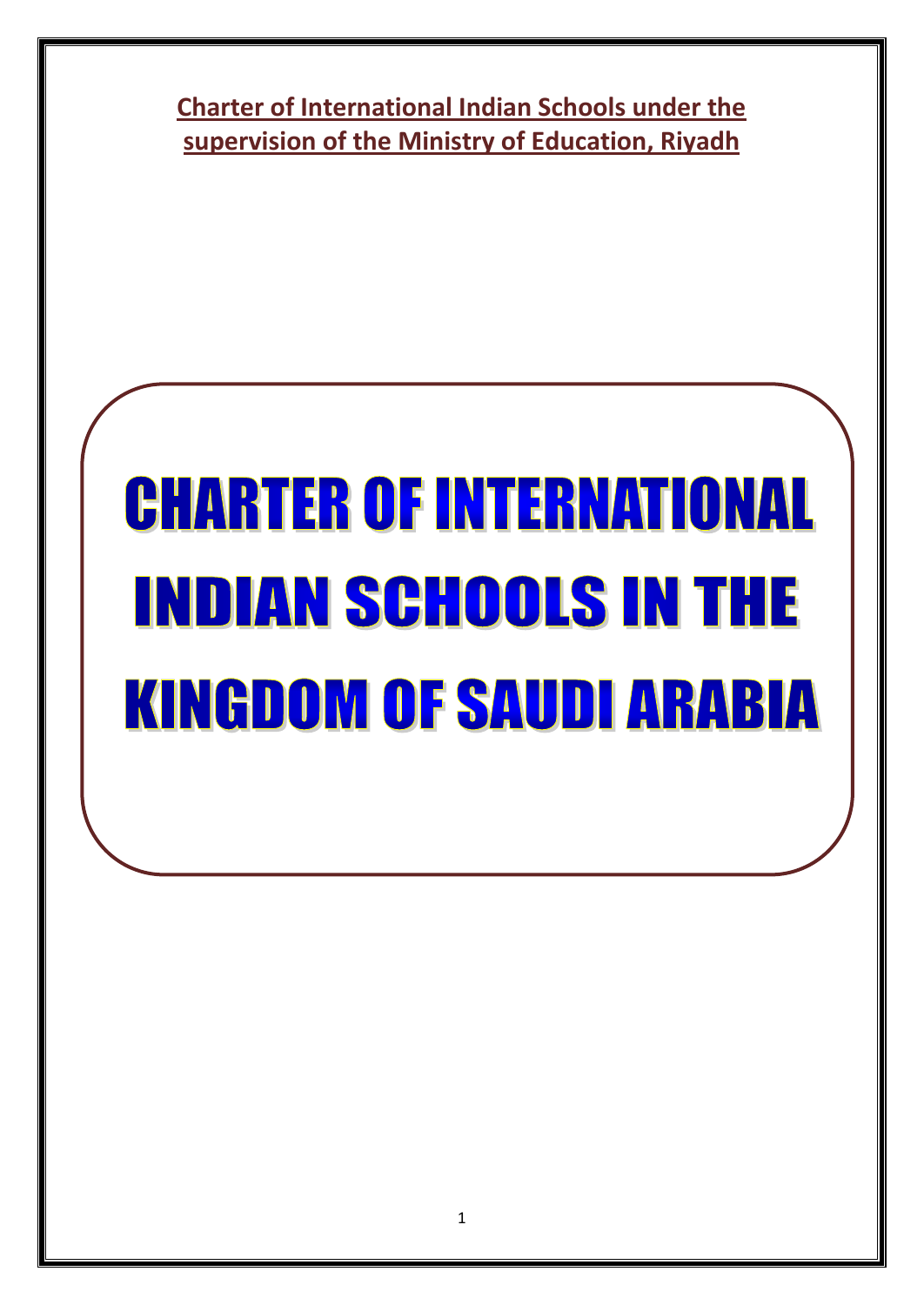**Charter of International Indian Schools under the supervision of the Ministry of Education, Riyadh**

# **CHARTER OF INTERNATIONAL INDIAN SCHOOLS IN THE KINGDOM OF SAUDI ARABIA**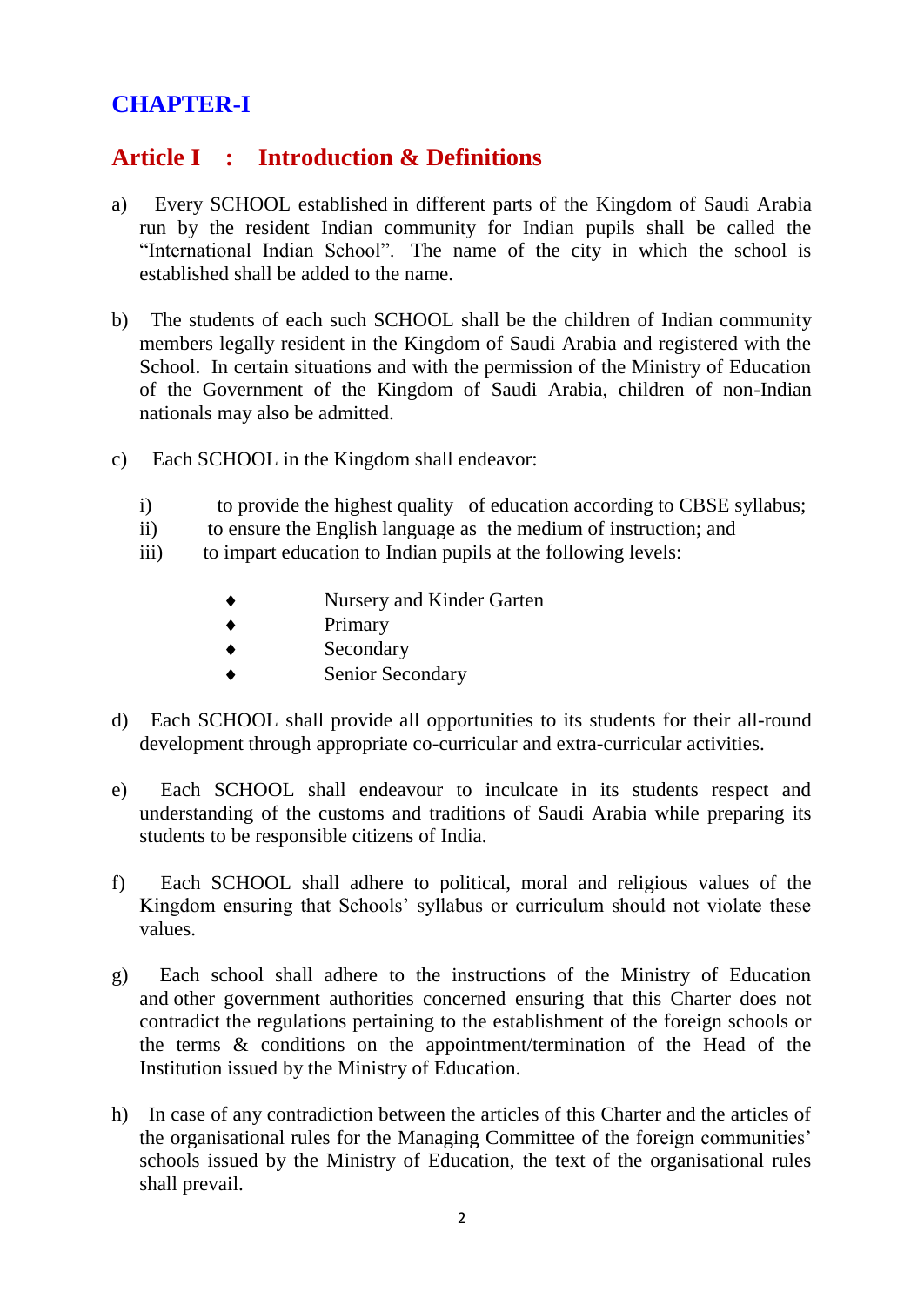# **CHAPTER-I**

# **Article I : Introduction & Definitions**

- a) Every SCHOOL established in different parts of the Kingdom of Saudi Arabia run by the resident Indian community for Indian pupils shall be called the "International Indian School". The name of the city in which the school is established shall be added to the name.
- b) The students of each such SCHOOL shall be the children of Indian community members legally resident in the Kingdom of Saudi Arabia and registered with the School. In certain situations and with the permission of the Ministry of Education of the Government of the Kingdom of Saudi Arabia, children of non-Indian nationals may also be admitted.
- c) Each SCHOOL in the Kingdom shall endeavor:
	- i) to provide the highest quality of education according to CBSE syllabus;
	- ii) to ensure the English language as the medium of instruction; and
	- iii) to impart education to Indian pupils at the following levels:
		- Nursery and Kinder Garten
		- ◆ Primary
		- ◆ Secondary
		- Senior Secondary
- d) Each SCHOOL shall provide all opportunities to its students for their all-round development through appropriate co-curricular and extra-curricular activities.
- e) Each SCHOOL shall endeavour to inculcate in its students respect and understanding of the customs and traditions of Saudi Arabia while preparing its students to be responsible citizens of India.
- f) Each SCHOOL shall adhere to political, moral and religious values of the Kingdom ensuring that Schools' syllabus or curriculum should not violate these values.
- g) Each school shall adhere to the instructions of the Ministry of Education and other government authorities concerned ensuring that this Charter does not contradict the regulations pertaining to the establishment of the foreign schools or the terms & conditions on the appointment/termination of the Head of the Institution issued by the Ministry of Education.
- h) In case of any contradiction between the articles of this Charter and the articles of the organisational rules for the Managing Committee of the foreign communities' schools issued by the Ministry of Education, the text of the organisational rules shall prevail.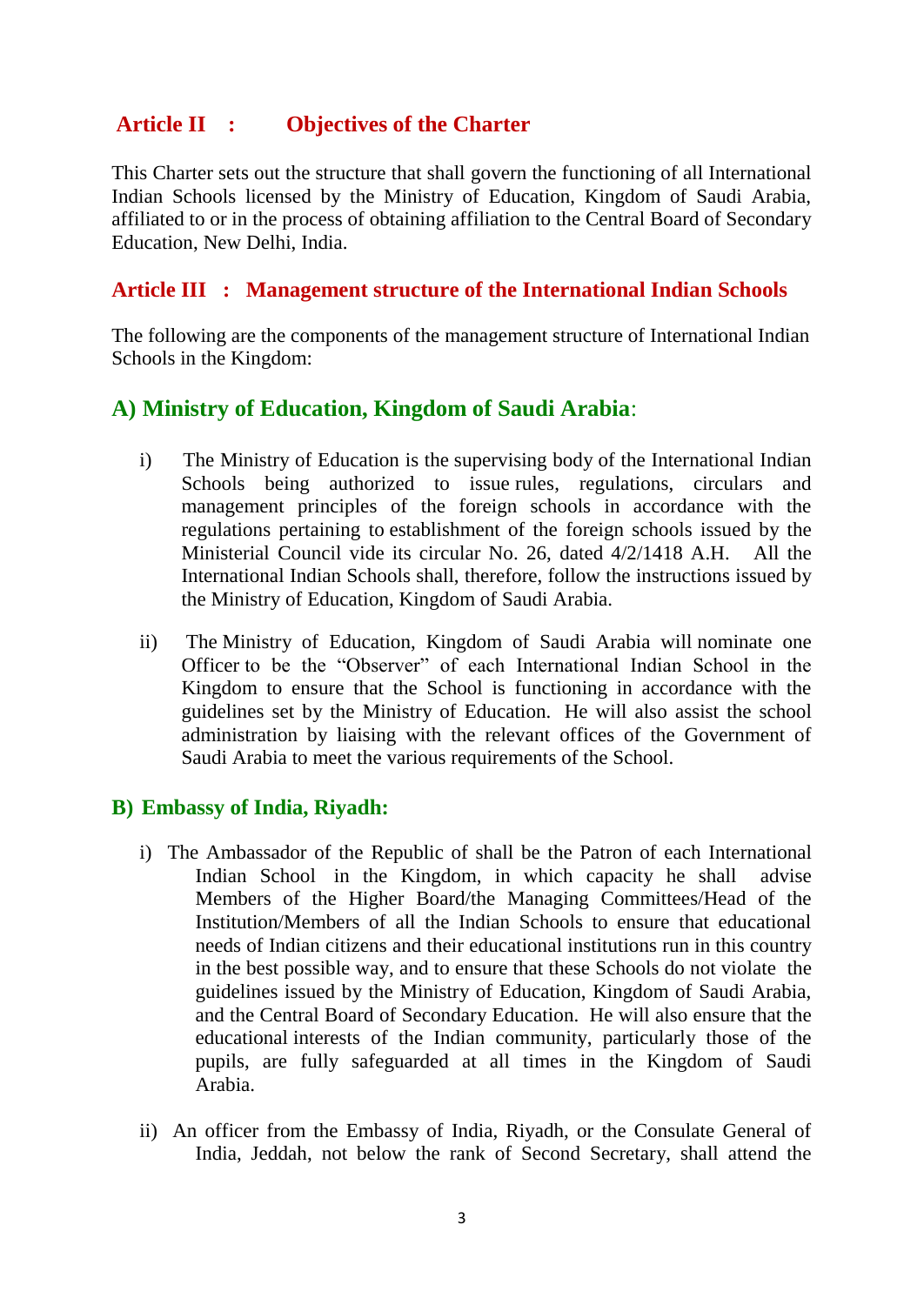## **Article II : Objectives of the Charter**

This Charter sets out the structure that shall govern the functioning of all International Indian Schools licensed by the Ministry of Education, Kingdom of Saudi Arabia, affiliated to or in the process of obtaining affiliation to the Central Board of Secondary Education, New Delhi, India.

#### **Article III : Management structure of the International Indian Schools**

The following are the components of the management structure of International Indian Schools in the Kingdom:

## **A) Ministry of Education, Kingdom of Saudi Arabia**:

- i) The Ministry of Education is the supervising body of the International Indian Schools being authorized to issue rules, regulations, circulars and management principles of the foreign schools in accordance with the regulations pertaining to establishment of the foreign schools issued by the Ministerial Council vide its circular No. 26, dated 4/2/1418 A.H. All the International Indian Schools shall, therefore, follow the instructions issued by the Ministry of Education, Kingdom of Saudi Arabia.
- ii) The Ministry of Education, Kingdom of Saudi Arabia will nominate one Officer to be the "Observer" of each International Indian School in the Kingdom to ensure that the School is functioning in accordance with the guidelines set by the Ministry of Education. He will also assist the school administration by liaising with the relevant offices of the Government of Saudi Arabia to meet the various requirements of the School.

## **B) Embassy of India, Riyadh:**

- i) The Ambassador of the Republic of shall be the Patron of each International Indian School in the Kingdom, in which capacity he shall advise Members of the Higher Board/the Managing Committees/Head of the Institution/Members of all the Indian Schools to ensure that educational needs of Indian citizens and their educational institutions run in this country in the best possible way, and to ensure that these Schools do not violate the guidelines issued by the Ministry of Education, Kingdom of Saudi Arabia, and the Central Board of Secondary Education. He will also ensure that the educational interests of the Indian community, particularly those of the pupils, are fully safeguarded at all times in the Kingdom of Saudi Arabia.
- ii) An officer from the Embassy of India, Riyadh, or the Consulate General of India, Jeddah, not below the rank of Second Secretary, shall attend the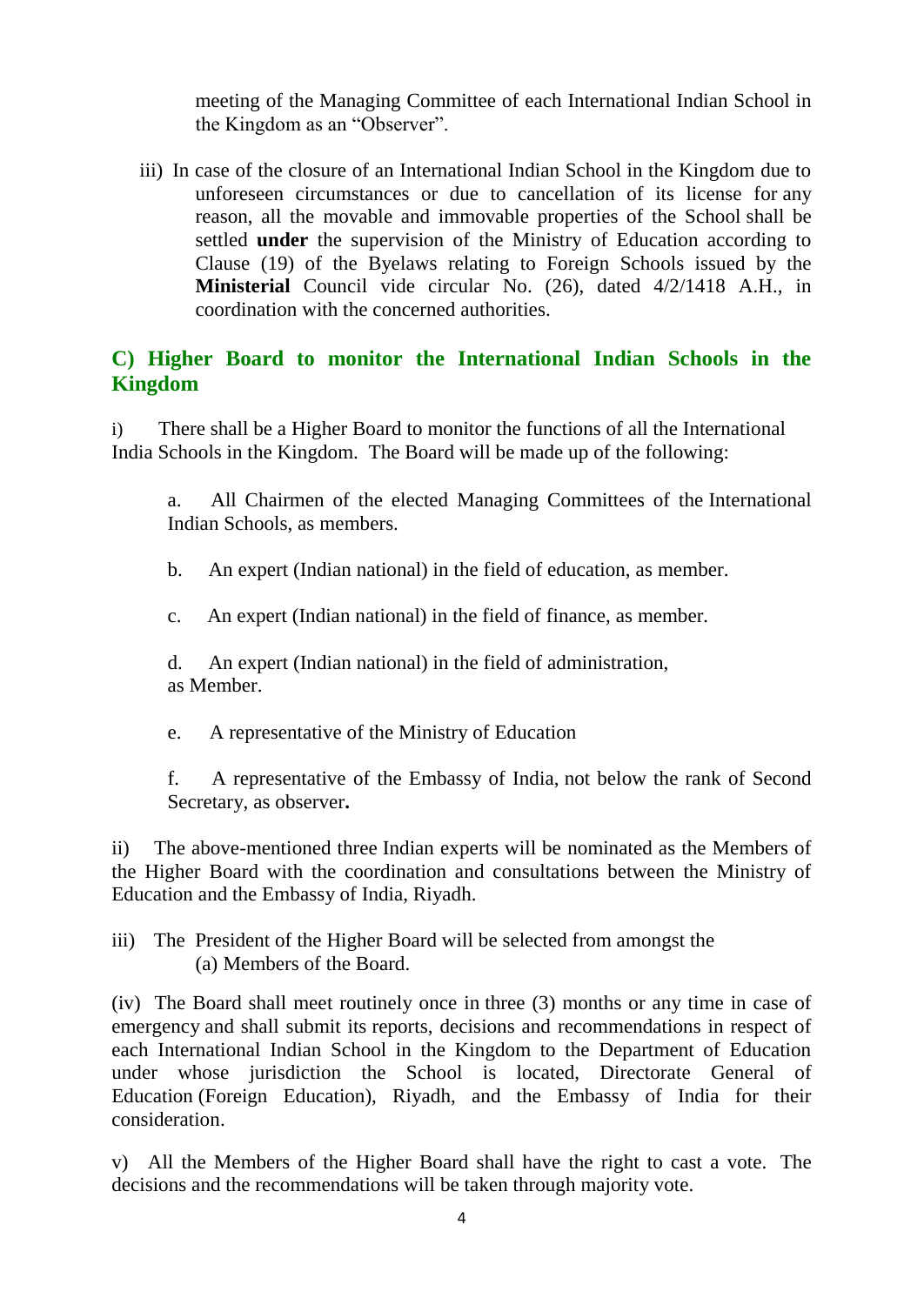meeting of the Managing Committee of each International Indian School in the Kingdom as an "Observer".

iii) In case of the closure of an International Indian School in the Kingdom due to unforeseen circumstances or due to cancellation of its license for any reason, all the movable and immovable properties of the School shall be settled **under** the supervision of the Ministry of Education according to Clause (19) of the Byelaws relating to Foreign Schools issued by the **Ministerial** Council vide circular No. (26), dated 4/2/1418 A.H., in coordination with the concerned authorities.

## **C) Higher Board to monitor the International Indian Schools in the Kingdom**

i) There shall be a Higher Board to monitor the functions of all the International India Schools in the Kingdom. The Board will be made up of the following:

a. All Chairmen of the elected Managing Committees of the International Indian Schools, as members.

b. An expert (Indian national) in the field of education, as member.

c. An expert (Indian national) in the field of finance, as member.

d. An expert (Indian national) in the field of administration, as Member.

e. A representative of the Ministry of Education

f. A representative of the Embassy of India, not below the rank of Second Secretary, as observer**.**

ii) The above-mentioned three Indian experts will be nominated as the Members of the Higher Board with the coordination and consultations between the Ministry of Education and the Embassy of India, Riyadh.

iii) The President of the Higher Board will be selected from amongst the (a) Members of the Board.

(iv) The Board shall meet routinely once in three (3) months or any time in case of emergency and shall submit its reports, decisions and recommendations in respect of each International Indian School in the Kingdom to the Department of Education under whose jurisdiction the School is located, Directorate General of Education (Foreign Education), Riyadh, and the Embassy of India for their consideration.

v) All the Members of the Higher Board shall have the right to cast a vote. The decisions and the recommendations will be taken through majority vote.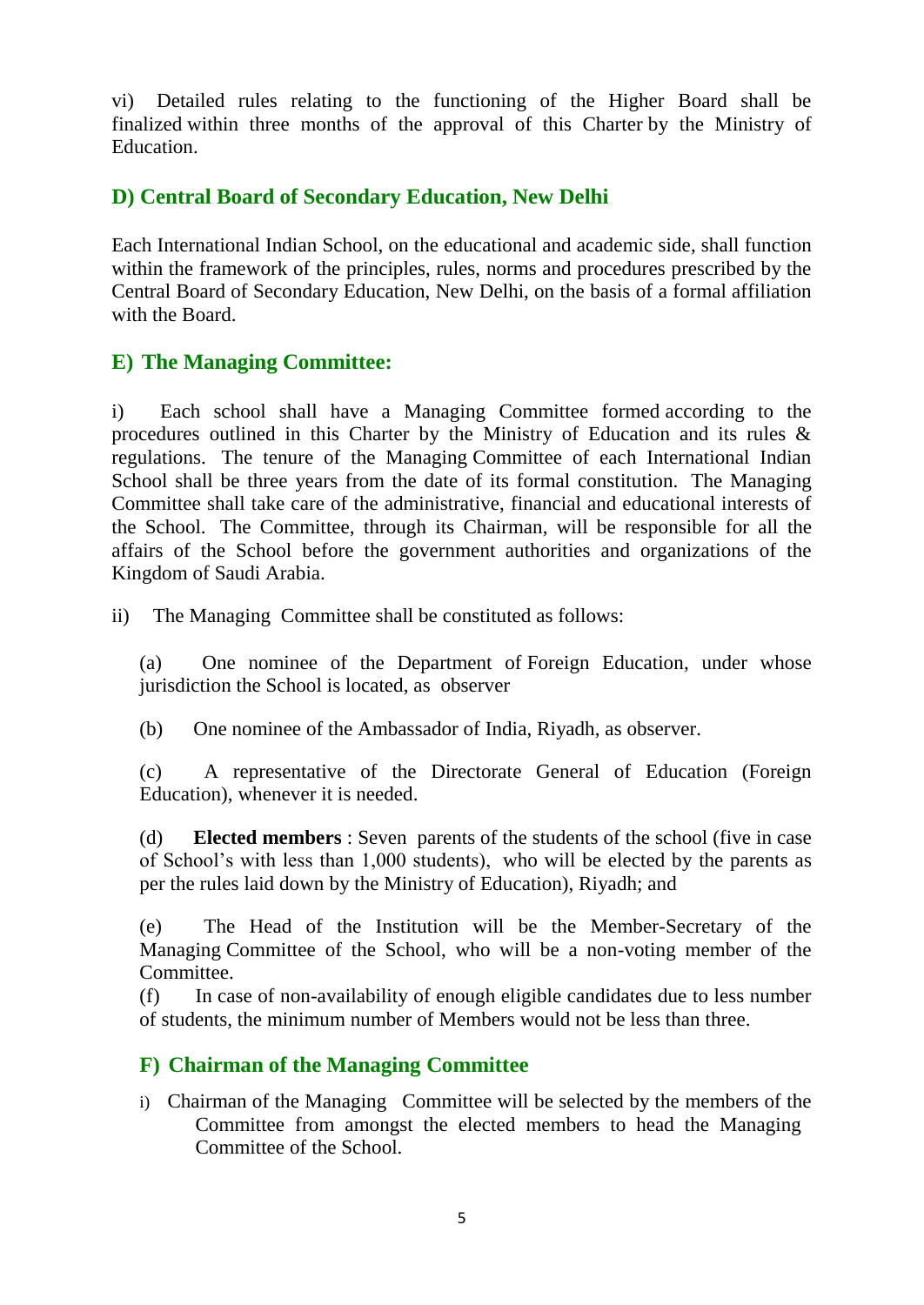vi) Detailed rules relating to the functioning of the Higher Board shall be finalized within three months of the approval of this Charter by the Ministry of **Education** 

## **D) Central Board of Secondary Education, New Delhi**

Each International Indian School, on the educational and academic side, shall function within the framework of the principles, rules, norms and procedures prescribed by the Central Board of Secondary Education, New Delhi, on the basis of a formal affiliation with the Board.

## **E) The Managing Committee:**

i) Each school shall have a Managing Committee formed according to the procedures outlined in this Charter by the Ministry of Education and its rules & regulations. The tenure of the Managing Committee of each International Indian School shall be three years from the date of its formal constitution. The Managing Committee shall take care of the administrative, financial and educational interests of the School. The Committee, through its Chairman, will be responsible for all the affairs of the School before the government authorities and organizations of the Kingdom of Saudi Arabia.

ii) The Managing Committee shall be constituted as follows:

(a) One nominee of the Department of Foreign Education, under whose jurisdiction the School is located, as observer

(b) One nominee of the Ambassador of India, Riyadh, as observer.

(c) A representative of the Directorate General of Education (Foreign Education), whenever it is needed.

(d) **Elected members** : Seven parents of the students of the school (five in case of School's with less than 1,000 students), who will be elected by the parents as per the rules laid down by the Ministry of Education), Riyadh; and

(e) The Head of the Institution will be the Member-Secretary of the Managing Committee of the School, who will be a non-voting member of the Committee.

(f) In case of non-availability of enough eligible candidates due to less number of students, the minimum number of Members would not be less than three.

## **F) Chairman of the Managing Committee**

i) Chairman of the Managing Committee will be selected by the members of the Committee from amongst the elected members to head the Managing Committee of the School.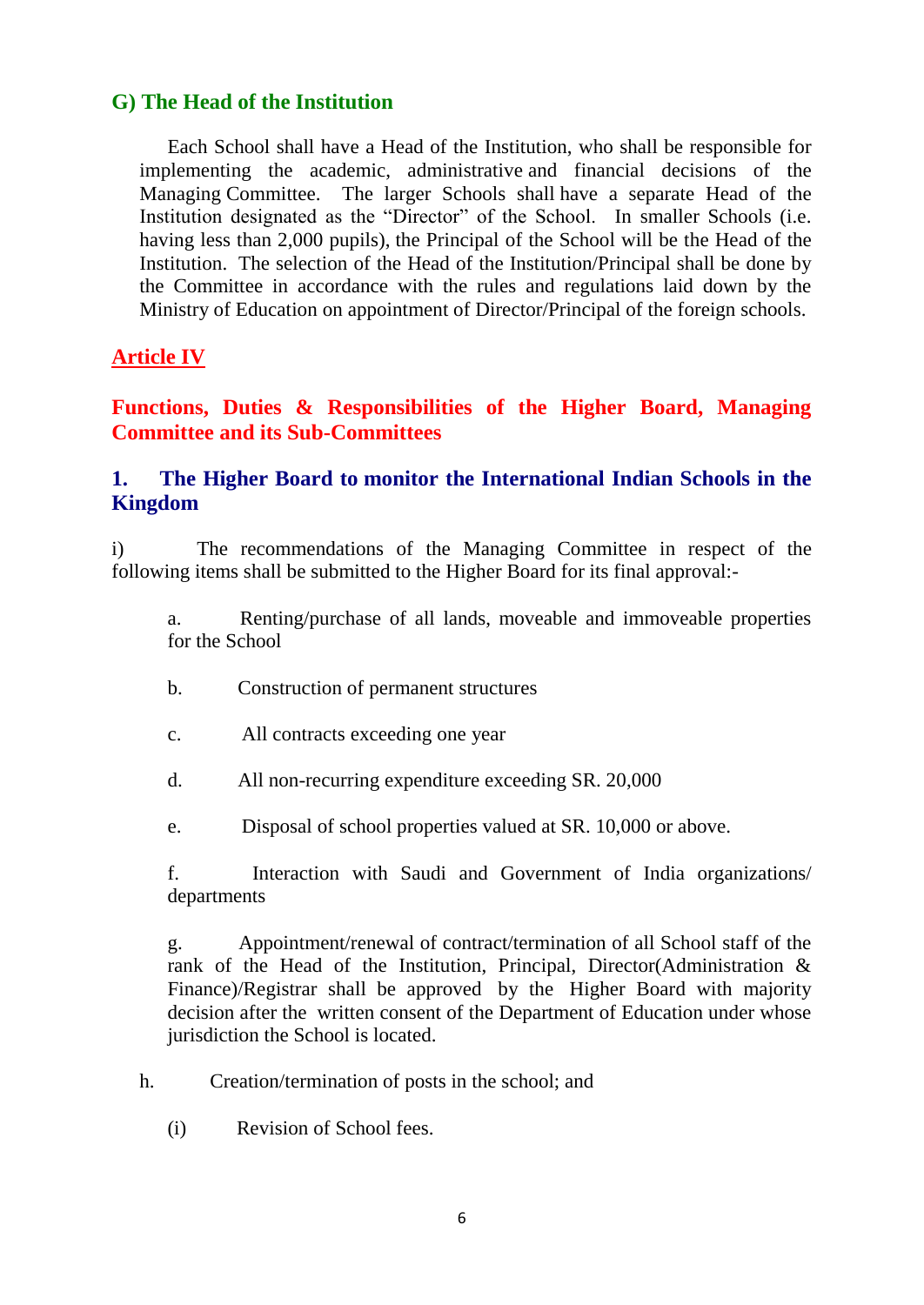## **G) The Head of the Institution**

Each School shall have a Head of the Institution, who shall be responsible for implementing the academic, administrative and financial decisions of the Managing Committee. The larger Schools shall have a separate Head of the Institution designated as the "Director" of the School. In smaller Schools (i.e. having less than 2,000 pupils), the Principal of the School will be the Head of the Institution. The selection of the Head of the Institution/Principal shall be done by the Committee in accordance with the rules and regulations laid down by the Ministry of Education on appointment of Director/Principal of the foreign schools.

## **Article IV**

**Functions, Duties & Responsibilities of the Higher Board, Managing Committee and its Sub-Committees**

## **1. The Higher Board to monitor the International Indian Schools in the Kingdom**

i) The recommendations of the Managing Committee in respect of the following items shall be submitted to the Higher Board for its final approval:-

a. Renting/purchase of all lands, moveable and immoveable properties for the School

- b. Construction of permanent structures
- c. All contracts exceeding one year
- d. All non-recurring expenditure exceeding SR. 20,000
- e. Disposal of school properties valued at SR. 10,000 or above.

f. Interaction with Saudi and Government of India organizations/ departments

g. Appointment/renewal of contract/termination of all School staff of the rank of the Head of the Institution, Principal, Director(Administration & Finance)/Registrar shall be approved by the Higher Board with majority decision after the written consent of the Department of Education under whose jurisdiction the School is located.

- h. Creation/termination of posts in the school; and
	- (i) Revision of School fees.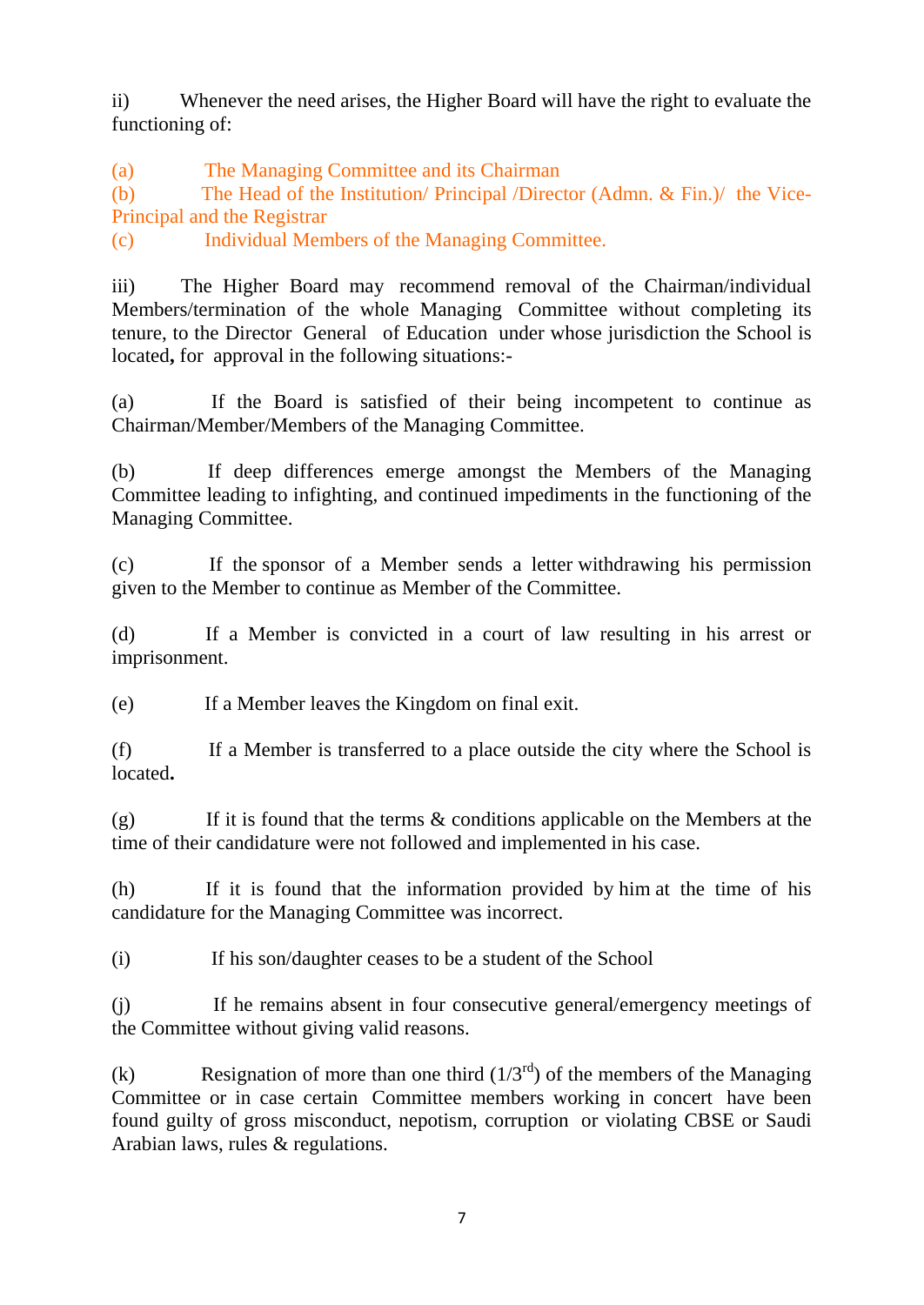ii) Whenever the need arises, the Higher Board will have the right to evaluate the functioning of:

(a) The Managing Committee and its Chairman

(b) The Head of the Institution/ Principal /Director (Admn. & Fin.)/ the Vice-Principal and the Registrar

(c) Individual Members of the Managing Committee.

iii) The Higher Board may recommend removal of the Chairman/individual Members/termination of the whole Managing Committee without completing its tenure, to the Director General of Education under whose jurisdiction the School is located**,** for approval in the following situations:-

(a) If the Board is satisfied of their being incompetent to continue as Chairman/Member/Members of the Managing Committee.

(b) If deep differences emerge amongst the Members of the Managing Committee leading to infighting, and continued impediments in the functioning of the Managing Committee.

(c) If the sponsor of a Member sends a letter withdrawing his permission given to the Member to continue as Member of the Committee.

(d) If a Member is convicted in a court of law resulting in his arrest or imprisonment.

(e) If a Member leaves the Kingdom on final exit.

(f) If a Member is transferred to a place outside the city where the School is located**.**

(g) If it is found that the terms  $\&$  conditions applicable on the Members at the time of their candidature were not followed and implemented in his case.

(h) If it is found that the information provided by him at the time of his candidature for the Managing Committee was incorrect.

(i) If his son/daughter ceases to be a student of the School

(j) If he remains absent in four consecutive general/emergency meetings of the Committee without giving valid reasons.

(k) Resignation of more than one third  $(1/3<sup>rd</sup>)$  of the members of the Managing Committee or in case certain Committee members working in concert have been found guilty of gross misconduct, nepotism, corruption or violating CBSE or Saudi Arabian laws, rules & regulations.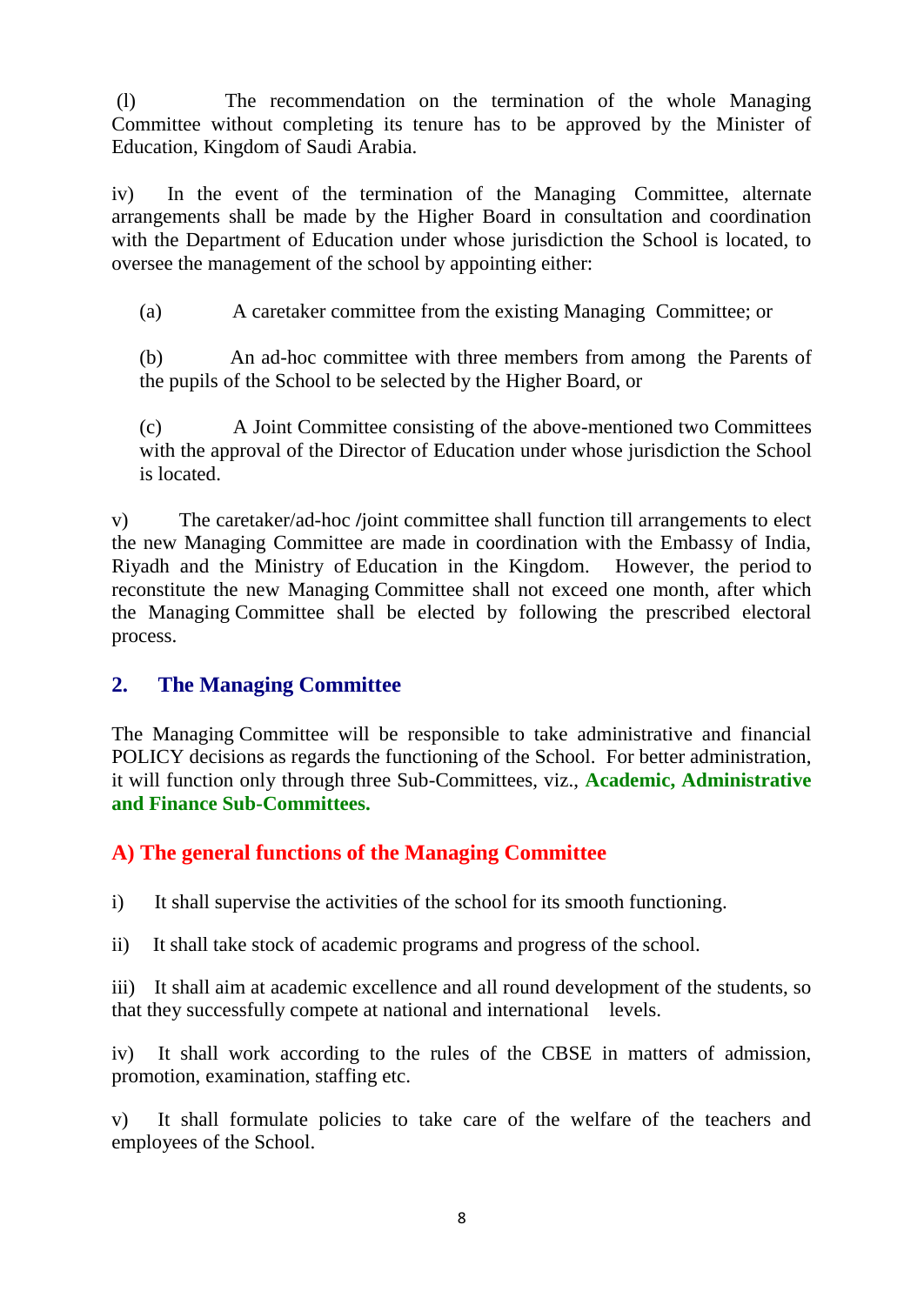(l) The recommendation on the termination of the whole Managing Committee without completing its tenure has to be approved by the Minister of Education, Kingdom of Saudi Arabia.

iv) In the event of the termination of the Managing Committee, alternate arrangements shall be made by the Higher Board in consultation and coordination with the Department of Education under whose jurisdiction the School is located, to oversee the management of the school by appointing either:

(a) A caretaker committee from the existing Managing Committee; or

(b) An ad-hoc committee with three members from among the Parents of the pupils of the School to be selected by the Higher Board, or

(c) A Joint Committee consisting of the above-mentioned two Committees with the approval of the Director of Education under whose jurisdiction the School is located.

v) The caretaker/ad-hoc **/**joint committee shall function till arrangements to elect the new Managing Committee are made in coordination with the Embassy of India, Riyadh and the Ministry of Education in the Kingdom. However, the period to reconstitute the new Managing Committee shall not exceed one month, after which the Managing Committee shall be elected by following the prescribed electoral process.

## **2. The Managing Committee**

The Managing Committee will be responsible to take administrative and financial POLICY decisions as regards the functioning of the School. For better administration, it will function only through three Sub-Committees, viz., **Academic, Administrative and Finance Sub-Committees.**

## **A) The general functions of the Managing Committee**

i) It shall supervise the activities of the school for its smooth functioning.

ii) It shall take stock of academic programs and progress of the school.

iii) It shall aim at academic excellence and all round development of the students, so that they successfully compete at national and international levels.

iv) It shall work according to the rules of the CBSE in matters of admission, promotion, examination, staffing etc.

v) It shall formulate policies to take care of the welfare of the teachers and employees of the School.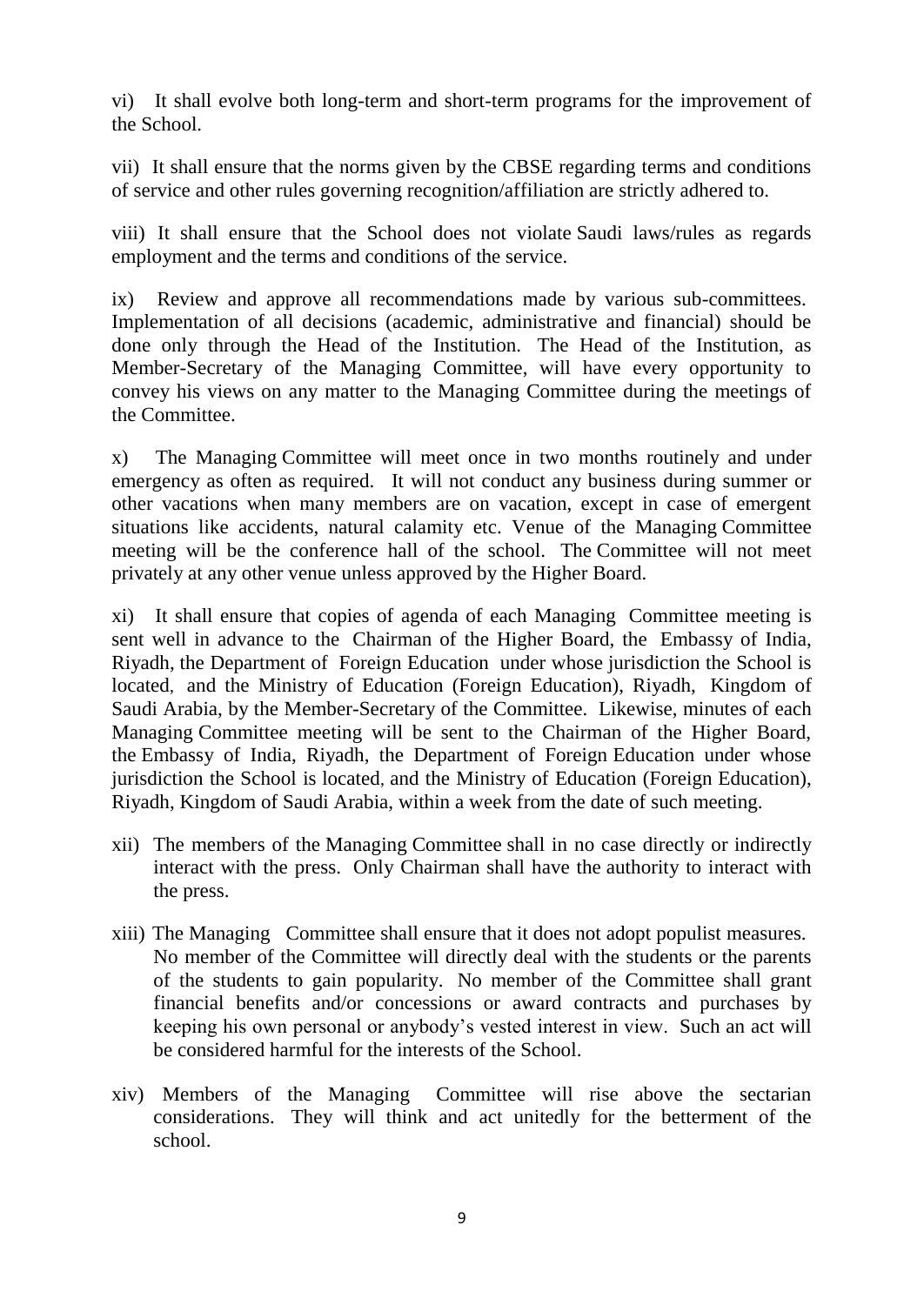vi) It shall evolve both long-term and short-term programs for the improvement of the School.

vii) It shall ensure that the norms given by the CBSE regarding terms and conditions of service and other rules governing recognition/affiliation are strictly adhered to.

viii) It shall ensure that the School does not violate Saudi laws/rules as regards employment and the terms and conditions of the service.

ix) Review and approve all recommendations made by various sub-committees. Implementation of all decisions (academic, administrative and financial) should be done only through the Head of the Institution. The Head of the Institution, as Member-Secretary of the Managing Committee, will have every opportunity to convey his views on any matter to the Managing Committee during the meetings of the Committee.

x) The Managing Committee will meet once in two months routinely and under emergency as often as required. It will not conduct any business during summer or other vacations when many members are on vacation, except in case of emergent situations like accidents, natural calamity etc. Venue of the Managing Committee meeting will be the conference hall of the school. The Committee will not meet privately at any other venue unless approved by the Higher Board.

xi) It shall ensure that copies of agenda of each Managing Committee meeting is sent well in advance to the Chairman of the Higher Board, the Embassy of India, Riyadh, the Department of Foreign Education under whose jurisdiction the School is located, and the Ministry of Education (Foreign Education), Riyadh, Kingdom of Saudi Arabia, by the Member-Secretary of the Committee. Likewise, minutes of each Managing Committee meeting will be sent to the Chairman of the Higher Board, the Embassy of India, Riyadh, the Department of Foreign Education under whose jurisdiction the School is located, and the Ministry of Education (Foreign Education), Riyadh, Kingdom of Saudi Arabia, within a week from the date of such meeting.

- xii) The members of the Managing Committee shall in no case directly or indirectly interact with the press. Only Chairman shall have the authority to interact with the press.
- xiii) The Managing Committee shall ensure that it does not adopt populist measures. No member of the Committee will directly deal with the students or the parents of the students to gain popularity. No member of the Committee shall grant financial benefits and/or concessions or award contracts and purchases by keeping his own personal or anybody's vested interest in view. Such an act will be considered harmful for the interests of the School.
- xiv) Members of the Managing Committee will rise above the sectarian considerations. They will think and act unitedly for the betterment of the school.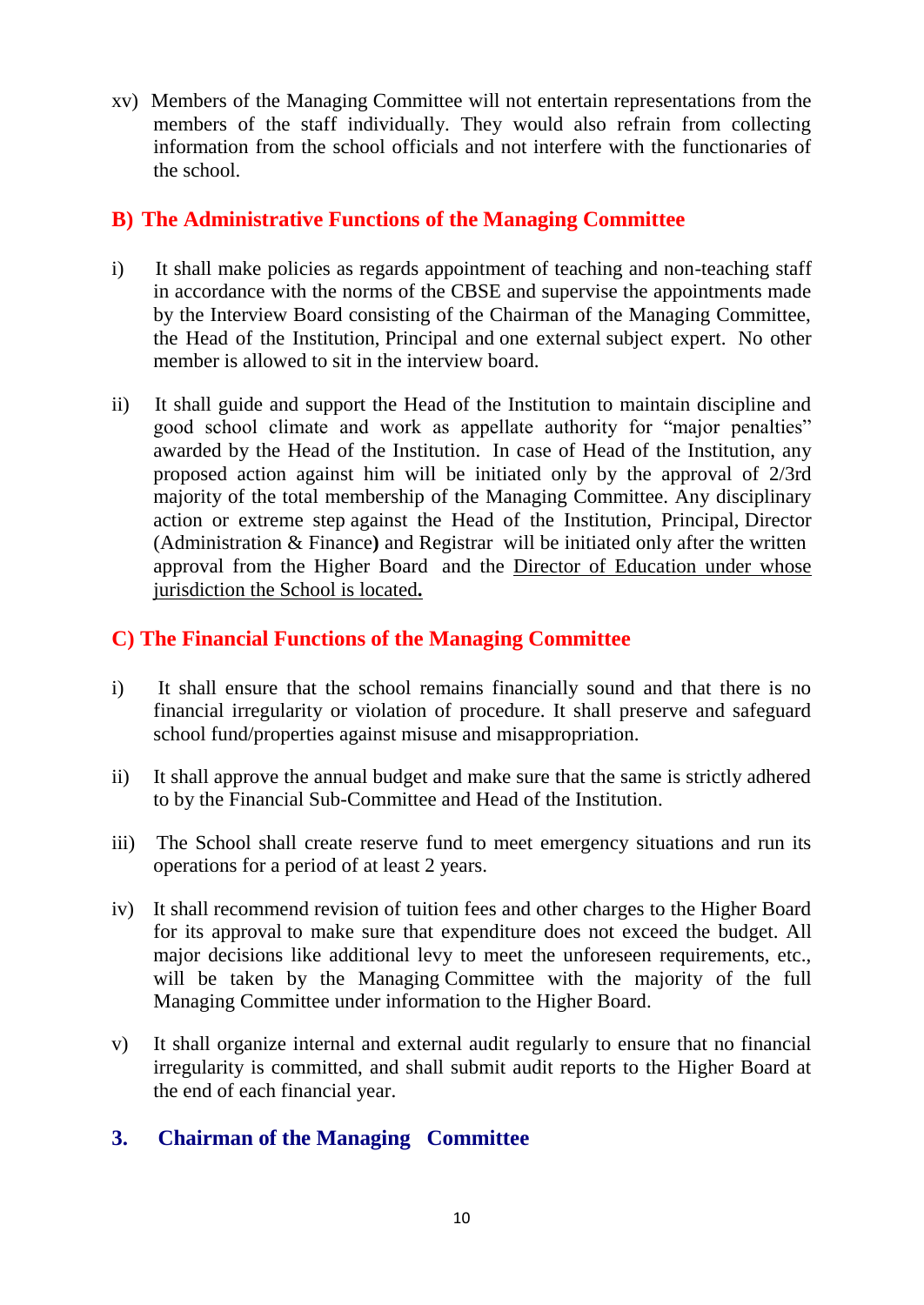xv) Members of the Managing Committee will not entertain representations from the members of the staff individually. They would also refrain from collecting information from the school officials and not interfere with the functionaries of the school.

## **B) The Administrative Functions of the Managing Committee**

- i) It shall make policies as regards appointment of teaching and non-teaching staff in accordance with the norms of the CBSE and supervise the appointments made by the Interview Board consisting of the Chairman of the Managing Committee, the Head of the Institution, Principal and one external subject expert. No other member is allowed to sit in the interview board.
- ii) It shall guide and support the Head of the Institution to maintain discipline and good school climate and work as appellate authority for "major penalties" awarded by the Head of the Institution. In case of Head of the Institution, any proposed action against him will be initiated only by the approval of 2/3rd majority of the total membership of the Managing Committee. Any disciplinary action or extreme step against the Head of the Institution, Principal, Director (Administration & Finance**)** and Registrar will be initiated only after the written approval from the Higher Board and the Director of Education under whose jurisdiction the School is located**.**

## **C) The Financial Functions of the Managing Committee**

- i) It shall ensure that the school remains financially sound and that there is no financial irregularity or violation of procedure. It shall preserve and safeguard school fund/properties against misuse and misappropriation.
- ii) It shall approve the annual budget and make sure that the same is strictly adhered to by the Financial Sub-Committee and Head of the Institution.
- iii) The School shall create reserve fund to meet emergency situations and run its operations for a period of at least 2 years.
- iv) It shall recommend revision of tuition fees and other charges to the Higher Board for its approval to make sure that expenditure does not exceed the budget. All major decisions like additional levy to meet the unforeseen requirements, etc., will be taken by the Managing Committee with the majority of the full Managing Committee under information to the Higher Board.
- v) It shall organize internal and external audit regularly to ensure that no financial irregularity is committed, and shall submit audit reports to the Higher Board at the end of each financial year.

## **3. Chairman of the Managing Committee**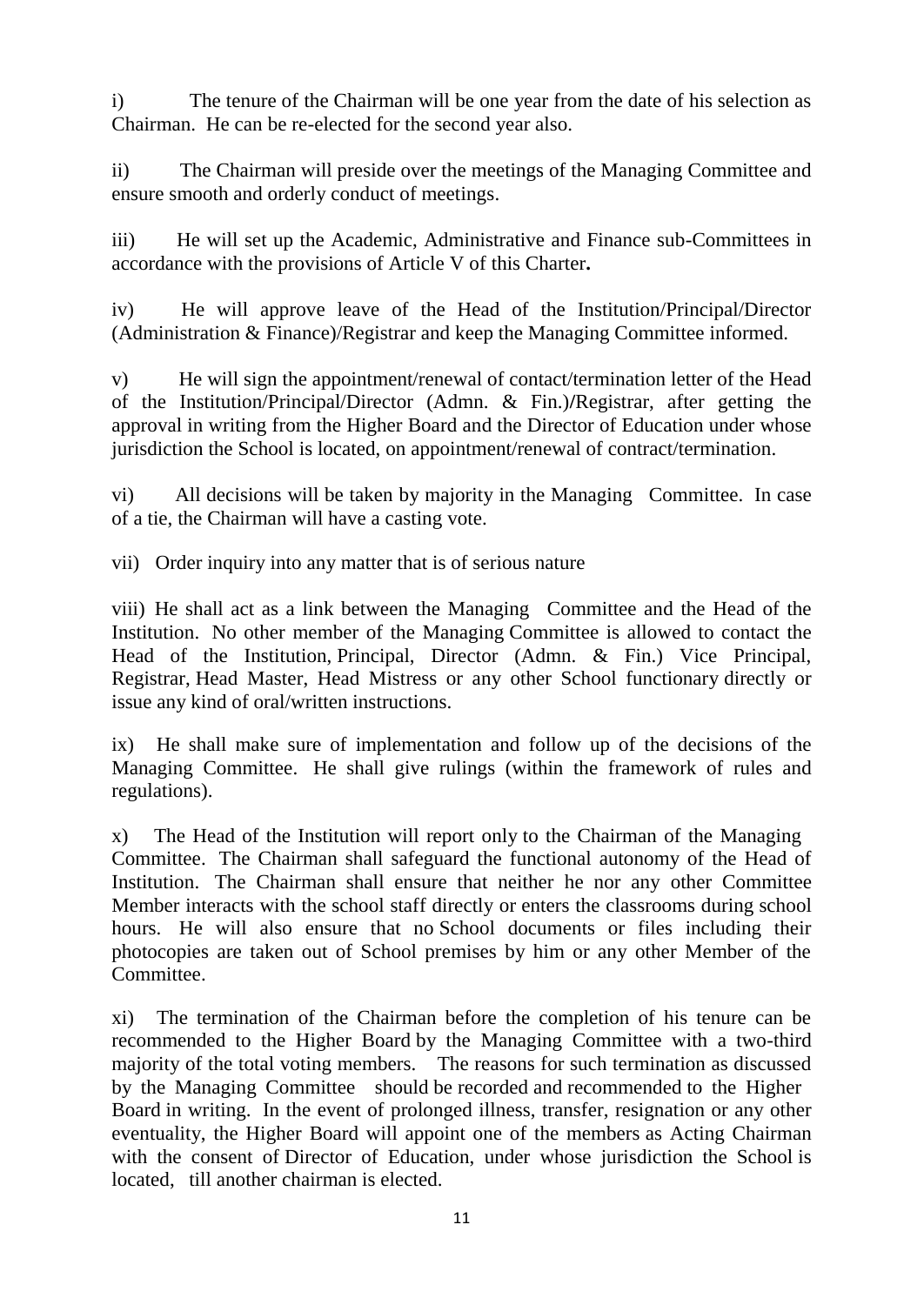i) The tenure of the Chairman will be one year from the date of his selection as Chairman. He can be re-elected for the second year also.

ii) The Chairman will preside over the meetings of the Managing Committee and ensure smooth and orderly conduct of meetings.

iii) He will set up the Academic, Administrative and Finance sub-Committees in accordance with the provisions of Article V of this Charter**.** 

iv) He will approve leave of the Head of the Institution/Principal/Director (Administration & Finance)/Registrar and keep the Managing Committee informed.

v) He will sign the appointment/renewal of contact/termination letter of the Head of the Institution/Principal/Director (Admn. & Fin.)**/**Registrar, after getting the approval in writing from the Higher Board and the Director of Education under whose jurisdiction the School is located, on appointment/renewal of contract/termination.

vi) All decisions will be taken by majority in the Managing Committee. In case of a tie, the Chairman will have a casting vote.

vii) Order inquiry into any matter that is of serious nature

viii) He shall act as a link between the Managing Committee and the Head of the Institution. No other member of the Managing Committee is allowed to contact the Head of the Institution, Principal, Director (Admn. & Fin.) Vice Principal, Registrar, Head Master, Head Mistress or any other School functionary directly or issue any kind of oral/written instructions.

ix) He shall make sure of implementation and follow up of the decisions of the Managing Committee. He shall give rulings (within the framework of rules and regulations).

x) The Head of the Institution will report only to the Chairman of the Managing Committee. The Chairman shall safeguard the functional autonomy of the Head of Institution. The Chairman shall ensure that neither he nor any other Committee Member interacts with the school staff directly or enters the classrooms during school hours. He will also ensure that no School documents or files including their photocopies are taken out of School premises by him or any other Member of the Committee.

xi) The termination of the Chairman before the completion of his tenure can be recommended to the Higher Board by the Managing Committee with a two-third majority of the total voting members. The reasons for such termination as discussed by the Managing Committee should be recorded and recommended to the Higher Board in writing. In the event of prolonged illness, transfer, resignation or any other eventuality, the Higher Board will appoint one of the members as Acting Chairman with the consent of Director of Education, under whose jurisdiction the School is located, till another chairman is elected.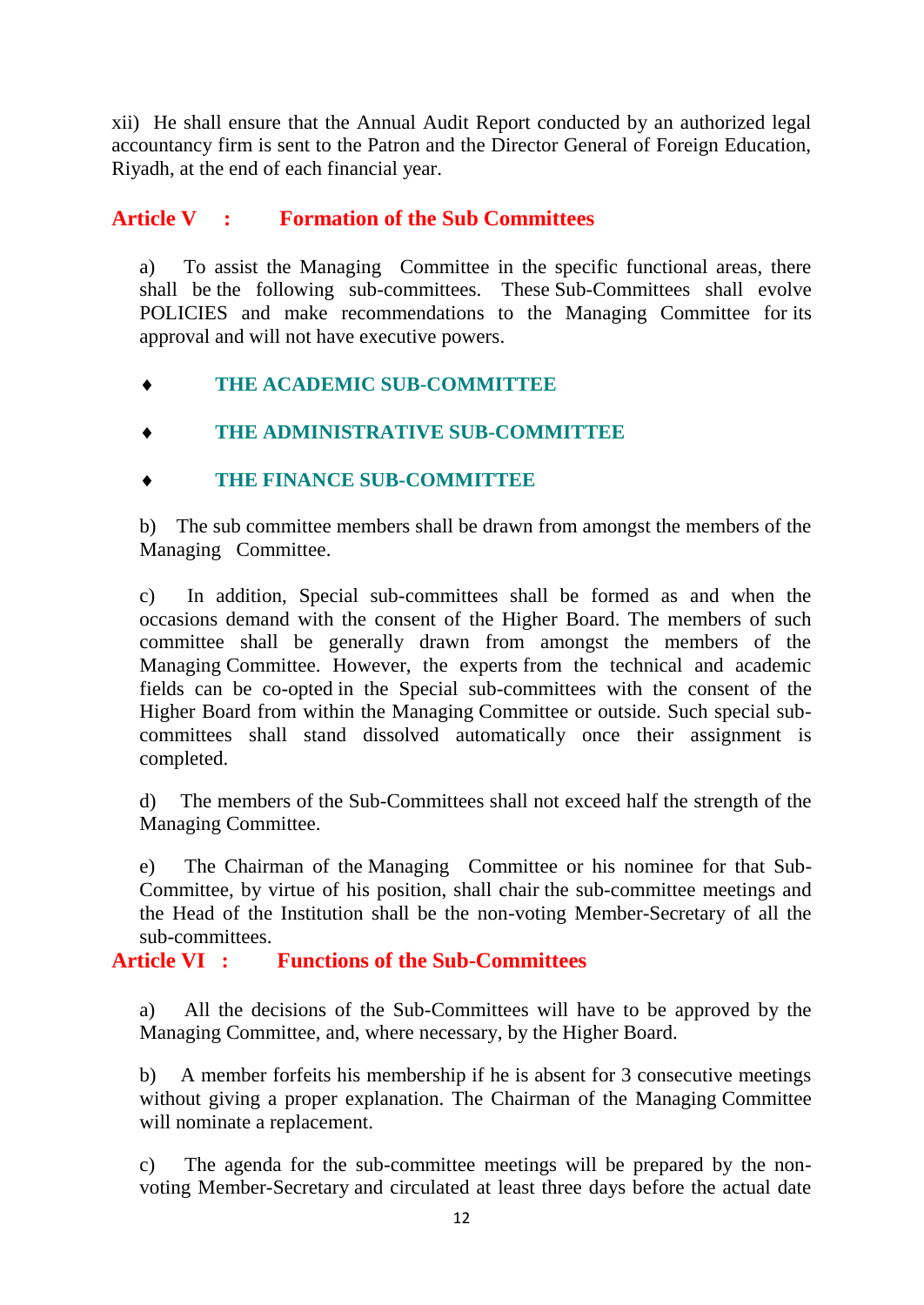xii) He shall ensure that the Annual Audit Report conducted by an authorized legal accountancy firm is sent to the Patron and the Director General of Foreign Education, Riyadh, at the end of each financial year.

## **Article V : Formation of the Sub Committees**

a) To assist the Managing Committee in the specific functional areas, there shall be the following sub-committees. These Sub-Committees shall evolve POLICIES and make recommendations to the Managing Committee for its approval and will not have executive powers.

## **THE ACADEMIC SUB-COMMITTEE**

**THE ADMINISTRATIVE SUB-COMMITTEE**

## **THE FINANCE SUB-COMMITTEE**

b) The sub committee members shall be drawn from amongst the members of the Managing Committee.

c) In addition, Special sub-committees shall be formed as and when the occasions demand with the consent of the Higher Board. The members of such committee shall be generally drawn from amongst the members of the Managing Committee. However, the experts from the technical and academic fields can be co-opted in the Special sub-committees with the consent of the Higher Board from within the Managing Committee or outside. Such special subcommittees shall stand dissolved automatically once their assignment is completed.

d) The members of the Sub-Committees shall not exceed half the strength of the Managing Committee.

e) The Chairman of the Managing Committee or his nominee for that Sub-Committee, by virtue of his position, shall chair the sub-committee meetings and the Head of the Institution shall be the non-voting Member-Secretary of all the sub-committees.

## **Article VI : Functions of the Sub-Committees**

a) All the decisions of the Sub-Committees will have to be approved by the Managing Committee, and, where necessary, by the Higher Board.

b) A member forfeits his membership if he is absent for 3 consecutive meetings without giving a proper explanation. The Chairman of the Managing Committee will nominate a replacement.

c) The agenda for the sub-committee meetings will be prepared by the nonvoting Member-Secretary and circulated at least three days before the actual date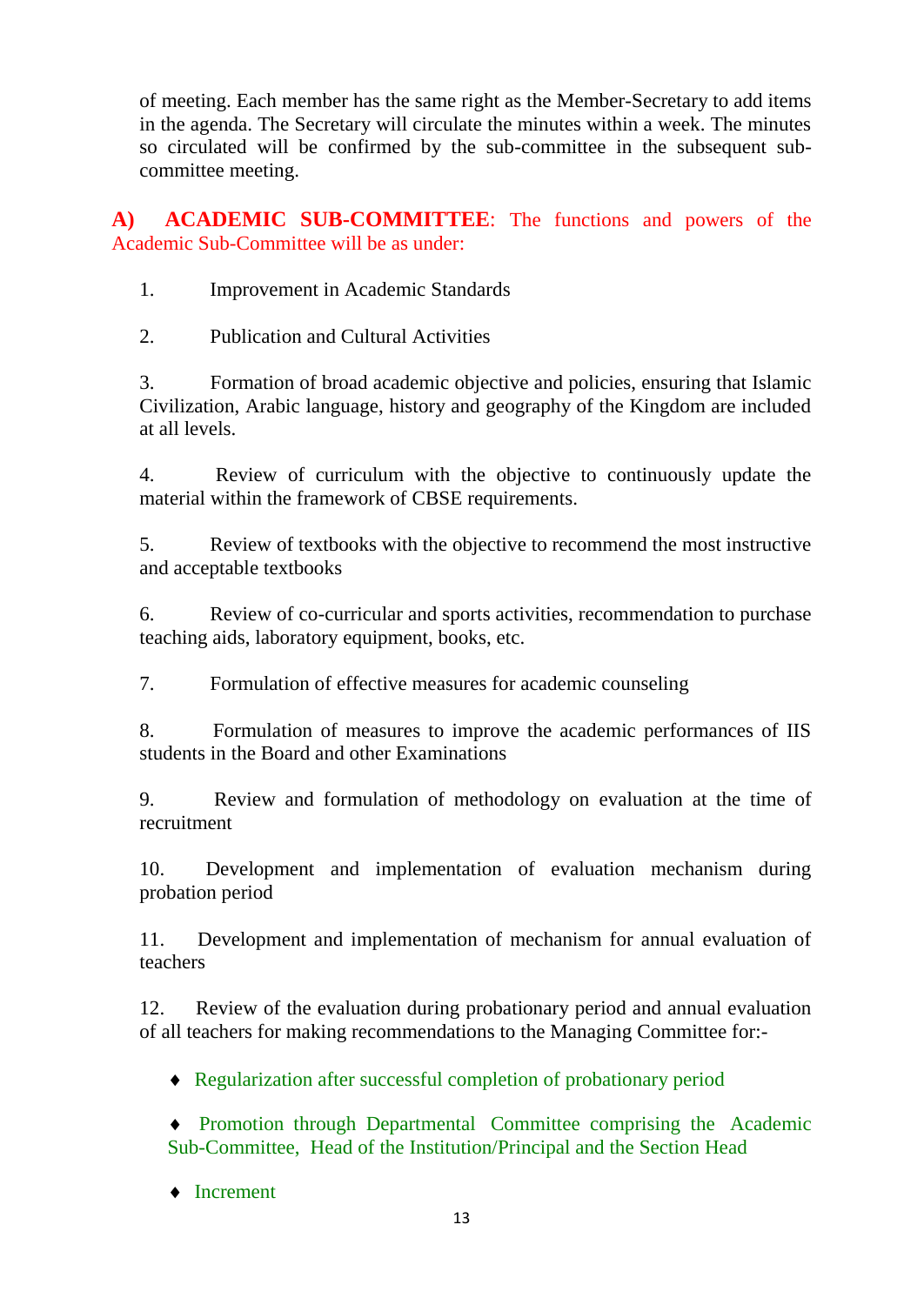of meeting. Each member has the same right as the Member-Secretary to add items in the agenda. The Secretary will circulate the minutes within a week. The minutes so circulated will be confirmed by the sub-committee in the subsequent subcommittee meeting.

**A) ACADEMIC SUB-COMMITTEE**: The functions and powers of the Academic Sub-Committee will be as under:

1. Improvement in Academic Standards

2. Publication and Cultural Activities

3. Formation of broad academic objective and policies, ensuring that Islamic Civilization, Arabic language, history and geography of the Kingdom are included at all levels.

4. Review of curriculum with the objective to continuously update the material within the framework of CBSE requirements.

5. Review of textbooks with the objective to recommend the most instructive and acceptable textbooks

6. Review of co-curricular and sports activities, recommendation to purchase teaching aids, laboratory equipment, books, etc.

7. Formulation of effective measures for academic counseling

8. Formulation of measures to improve the academic performances of IIS students in the Board and other Examinations

9. Review and formulation of methodology on evaluation at the time of recruitment

10. Development and implementation of evaluation mechanism during probation period

11. Development and implementation of mechanism for annual evaluation of teachers

12. Review of the evaluation during probationary period and annual evaluation of all teachers for making recommendations to the Managing Committee for:-

Regularization after successful completion of probationary period

 Promotion through Departmental Committee comprising the Academic Sub-Committee, Head of the Institution/Principal and the Section Head

◆ Increment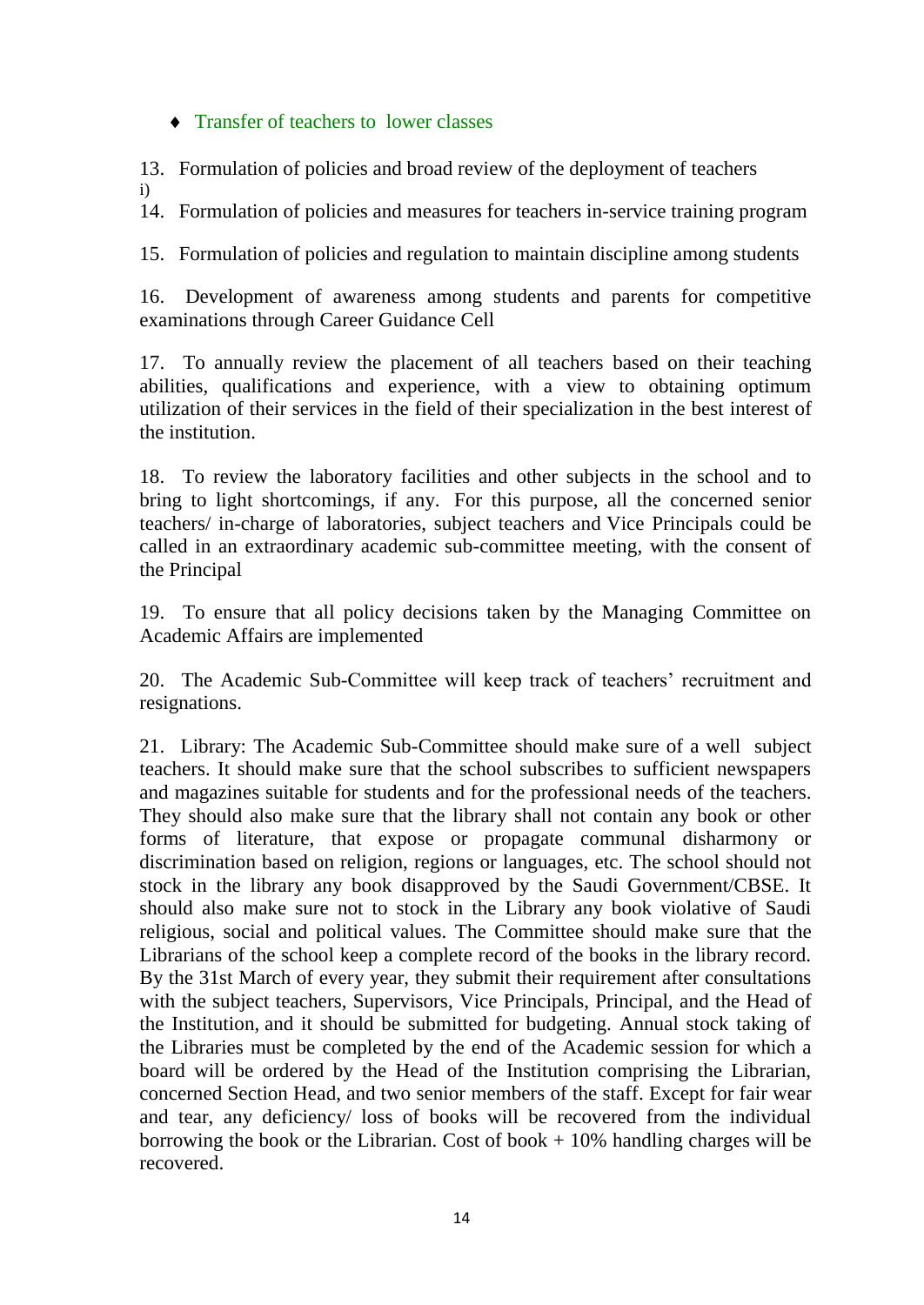#### • Transfer of teachers to lower classes

13. Formulation of policies and broad review of the deployment of teachers

i)

14. Formulation of policies and measures for teachers in-service training program

15. Formulation of policies and regulation to maintain discipline among students

16. Development of awareness among students and parents for competitive examinations through Career Guidance Cell

17. To annually review the placement of all teachers based on their teaching abilities, qualifications and experience, with a view to obtaining optimum utilization of their services in the field of their specialization in the best interest of the institution.

18. To review the laboratory facilities and other subjects in the school and to bring to light shortcomings, if any. For this purpose, all the concerned senior teachers/ in-charge of laboratories, subject teachers and Vice Principals could be called in an extraordinary academic sub-committee meeting, with the consent of the Principal

19. To ensure that all policy decisions taken by the Managing Committee on Academic Affairs are implemented

20. The Academic Sub-Committee will keep track of teachers' recruitment and resignations.

21. Library: The Academic Sub-Committee should make sure of a well subject teachers. It should make sure that the school subscribes to sufficient newspapers and magazines suitable for students and for the professional needs of the teachers. They should also make sure that the library shall not contain any book or other forms of literature, that expose or propagate communal disharmony or discrimination based on religion, regions or languages, etc. The school should not stock in the library any book disapproved by the Saudi Government/CBSE. It should also make sure not to stock in the Library any book violative of Saudi religious, social and political values. The Committee should make sure that the Librarians of the school keep a complete record of the books in the library record. By the 31st March of every year, they submit their requirement after consultations with the subject teachers, Supervisors, Vice Principals, Principal, and the Head of the Institution, and it should be submitted for budgeting. Annual stock taking of the Libraries must be completed by the end of the Academic session for which a board will be ordered by the Head of the Institution comprising the Librarian, concerned Section Head, and two senior members of the staff. Except for fair wear and tear, any deficiency/ loss of books will be recovered from the individual borrowing the book or the Librarian. Cost of book  $+10\%$  handling charges will be recovered.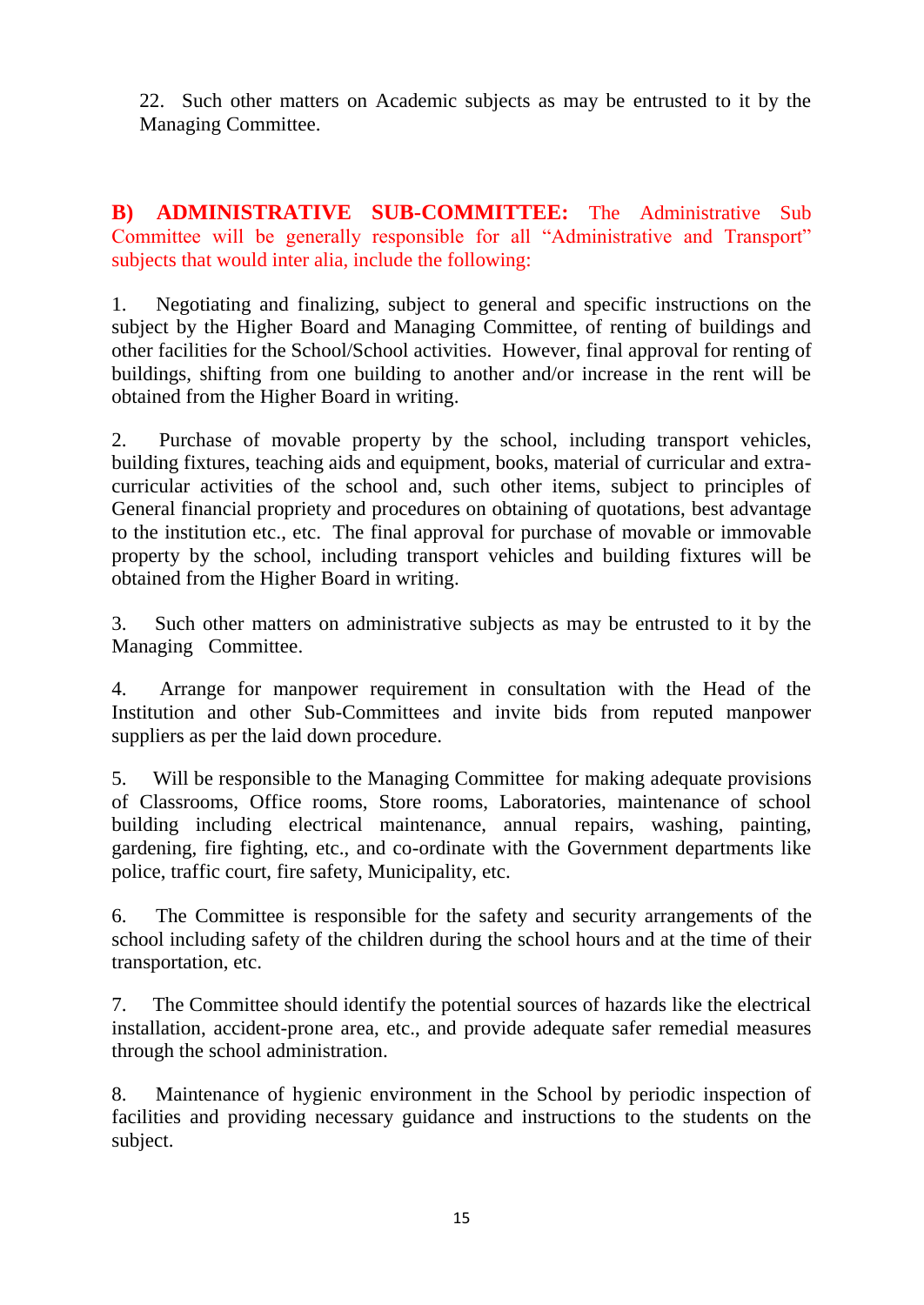22. Such other matters on Academic subjects as may be entrusted to it by the Managing Committee.

**B) ADMINISTRATIVE SUB-COMMITTEE:** The Administrative Sub Committee will be generally responsible for all "Administrative and Transport" subjects that would inter alia, include the following:

1. Negotiating and finalizing, subject to general and specific instructions on the subject by the Higher Board and Managing Committee, of renting of buildings and other facilities for the School/School activities. However, final approval for renting of buildings, shifting from one building to another and/or increase in the rent will be obtained from the Higher Board in writing.

2. Purchase of movable property by the school, including transport vehicles, building fixtures, teaching aids and equipment, books, material of curricular and extracurricular activities of the school and, such other items, subject to principles of General financial propriety and procedures on obtaining of quotations, best advantage to the institution etc., etc. The final approval for purchase of movable or immovable property by the school, including transport vehicles and building fixtures will be obtained from the Higher Board in writing.

3. Such other matters on administrative subjects as may be entrusted to it by the Managing Committee.

4. Arrange for manpower requirement in consultation with the Head of the Institution and other Sub-Committees and invite bids from reputed manpower suppliers as per the laid down procedure.

5. Will be responsible to the Managing Committee for making adequate provisions of Classrooms, Office rooms, Store rooms, Laboratories, maintenance of school building including electrical maintenance, annual repairs, washing, painting, gardening, fire fighting, etc., and co-ordinate with the Government departments like police, traffic court, fire safety, Municipality, etc.

6. The Committee is responsible for the safety and security arrangements of the school including safety of the children during the school hours and at the time of their transportation, etc.

7. The Committee should identify the potential sources of hazards like the electrical installation, accident-prone area, etc., and provide adequate safer remedial measures through the school administration.

8. Maintenance of hygienic environment in the School by periodic inspection of facilities and providing necessary guidance and instructions to the students on the subject.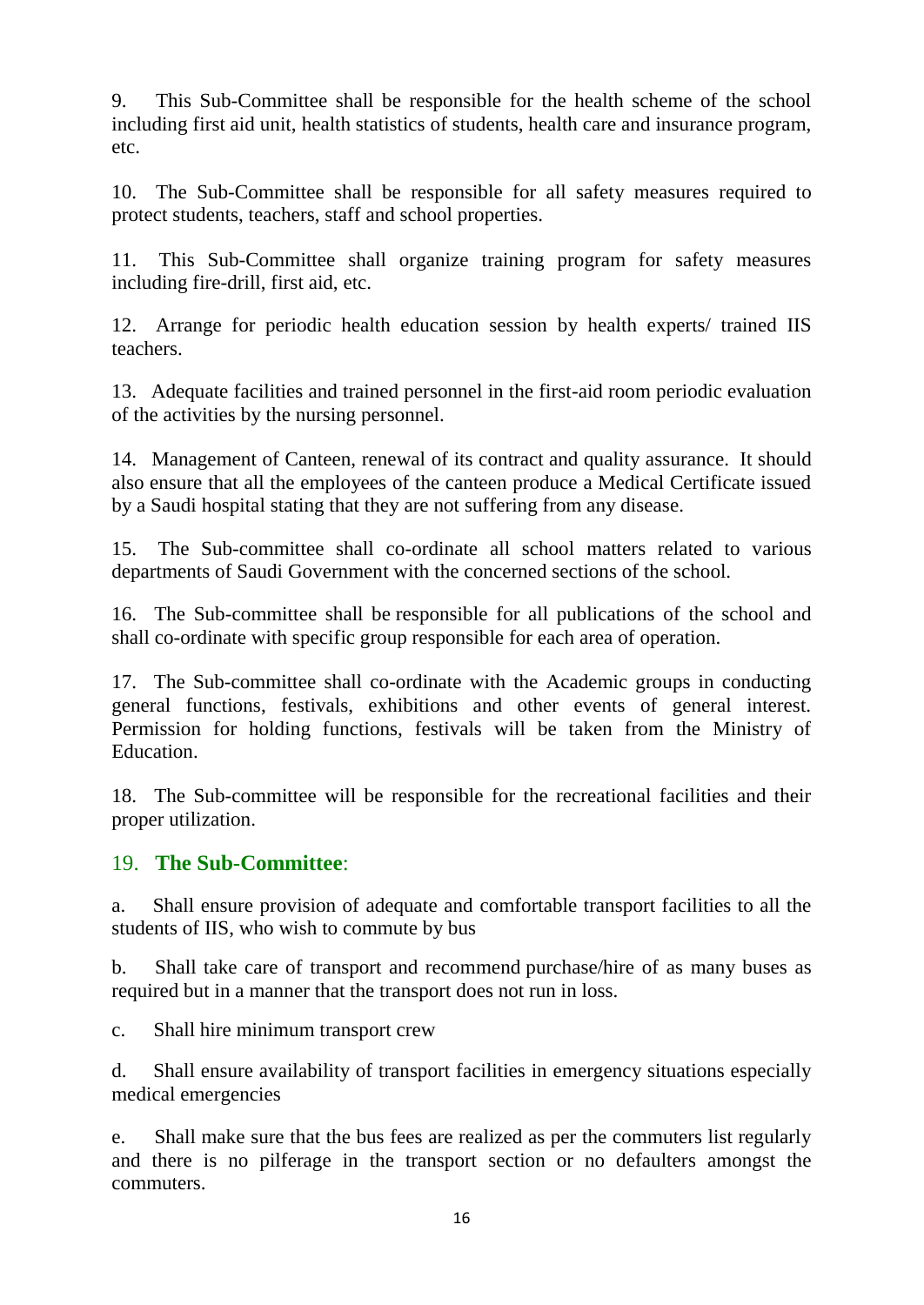9. This Sub-Committee shall be responsible for the health scheme of the school including first aid unit, health statistics of students, health care and insurance program, etc.

10. The Sub-Committee shall be responsible for all safety measures required to protect students, teachers, staff and school properties.

11. This Sub-Committee shall organize training program for safety measures including fire-drill, first aid, etc.

12. Arrange for periodic health education session by health experts/ trained IIS teachers.

13. Adequate facilities and trained personnel in the first-aid room periodic evaluation of the activities by the nursing personnel.

14. Management of Canteen, renewal of its contract and quality assurance. It should also ensure that all the employees of the canteen produce a Medical Certificate issued by a Saudi hospital stating that they are not suffering from any disease.

15. The Sub-committee shall co-ordinate all school matters related to various departments of Saudi Government with the concerned sections of the school.

16. The Sub-committee shall be responsible for all publications of the school and shall co-ordinate with specific group responsible for each area of operation.

17. The Sub-committee shall co-ordinate with the Academic groups in conducting general functions, festivals, exhibitions and other events of general interest. Permission for holding functions, festivals will be taken from the Ministry of Education.

18. The Sub-committee will be responsible for the recreational facilities and their proper utilization.

## 19. **The Sub-Committee**:

a. Shall ensure provision of adequate and comfortable transport facilities to all the students of IIS, who wish to commute by bus

b. Shall take care of transport and recommend purchase/hire of as many buses as required but in a manner that the transport does not run in loss.

c. Shall hire minimum transport crew

d. Shall ensure availability of transport facilities in emergency situations especially medical emergencies

e. Shall make sure that the bus fees are realized as per the commuters list regularly and there is no pilferage in the transport section or no defaulters amongst the commuters.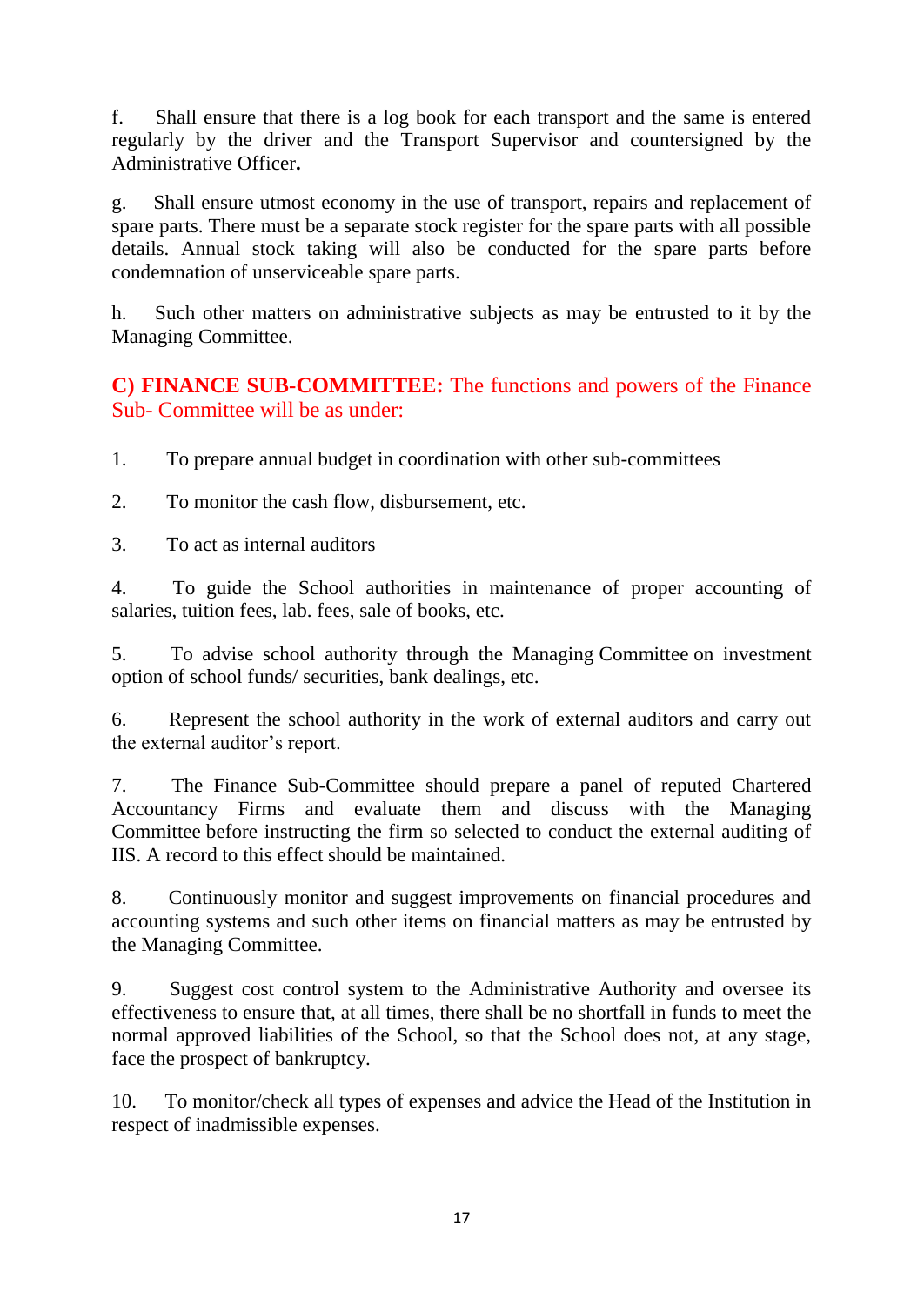f. Shall ensure that there is a log book for each transport and the same is entered regularly by the driver and the Transport Supervisor and countersigned by the Administrative Officer**.**

g. Shall ensure utmost economy in the use of transport, repairs and replacement of spare parts. There must be a separate stock register for the spare parts with all possible details. Annual stock taking will also be conducted for the spare parts before condemnation of unserviceable spare parts.

h. Such other matters on administrative subjects as may be entrusted to it by the Managing Committee.

## **C) FINANCE SUB-COMMITTEE:** The functions and powers of the Finance Sub- Committee will be as under:

1. To prepare annual budget in coordination with other sub-committees

2. To monitor the cash flow, disbursement, etc.

3. To act as internal auditors

4. To guide the School authorities in maintenance of proper accounting of salaries, tuition fees, lab. fees, sale of books, etc.

5. To advise school authority through the Managing Committee on investment option of school funds/ securities, bank dealings, etc.

6. Represent the school authority in the work of external auditors and carry out the external auditor's report.

7. The Finance Sub-Committee should prepare a panel of reputed Chartered Accountancy Firms and evaluate them and discuss with the Managing Committee before instructing the firm so selected to conduct the external auditing of IIS. A record to this effect should be maintained.

8. Continuously monitor and suggest improvements on financial procedures and accounting systems and such other items on financial matters as may be entrusted by the Managing Committee.

9. Suggest cost control system to the Administrative Authority and oversee its effectiveness to ensure that, at all times, there shall be no shortfall in funds to meet the normal approved liabilities of the School, so that the School does not, at any stage, face the prospect of bankruptcy.

10. To monitor/check all types of expenses and advice the Head of the Institution in respect of inadmissible expenses.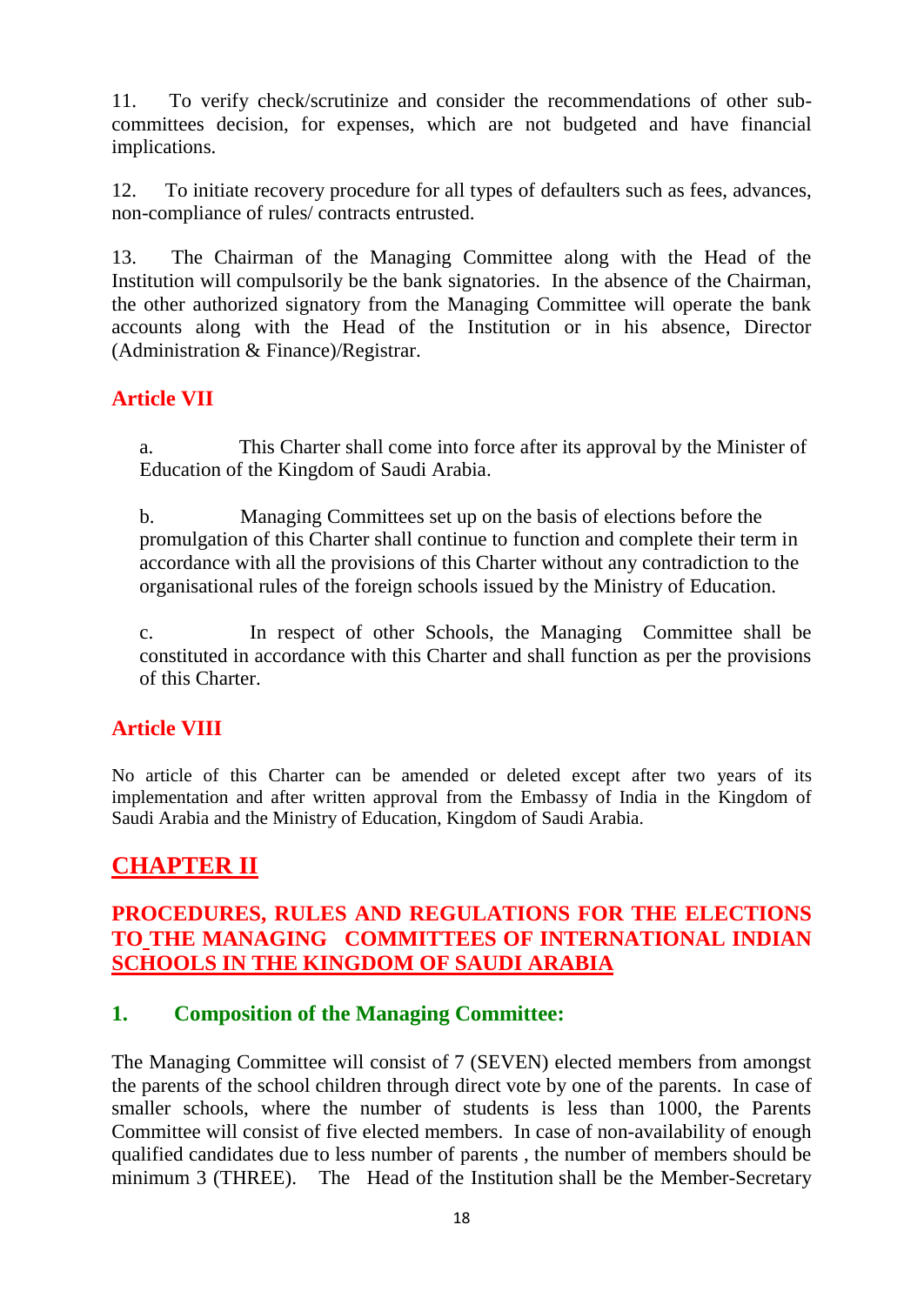11. To verify check/scrutinize and consider the recommendations of other subcommittees decision, for expenses, which are not budgeted and have financial implications.

12. To initiate recovery procedure for all types of defaulters such as fees, advances, non-compliance of rules/ contracts entrusted.

13. The Chairman of the Managing Committee along with the Head of the Institution will compulsorily be the bank signatories. In the absence of the Chairman, the other authorized signatory from the Managing Committee will operate the bank accounts along with the Head of the Institution or in his absence, Director (Administration & Finance)/Registrar.

## **Article VII**

a. This Charter shall come into force after its approval by the Minister of Education of the Kingdom of Saudi Arabia.

b. Managing Committees set up on the basis of elections before the promulgation of this Charter shall continue to function and complete their term in accordance with all the provisions of this Charter without any contradiction to the organisational rules of the foreign schools issued by the Ministry of Education.

c. In respect of other Schools, the Managing Committee shall be constituted in accordance with this Charter and shall function as per the provisions of this Charter.

## **Article VIII**

No article of this Charter can be amended or deleted except after two years of its implementation and after written approval from the Embassy of India in the Kingdom of Saudi Arabia and the Ministry of Education, Kingdom of Saudi Arabia.

## **CHAPTER II**

## **PROCEDURES, RULES AND REGULATIONS FOR THE ELECTIONS TO THE MANAGING COMMITTEES OF INTERNATIONAL INDIAN SCHOOLS IN THE KINGDOM OF SAUDI ARABIA**

## **1. Composition of the Managing Committee:**

The Managing Committee will consist of 7 (SEVEN) elected members from amongst the parents of the school children through direct vote by one of the parents. In case of smaller schools, where the number of students is less than 1000, the Parents Committee will consist of five elected members. In case of non-availability of enough qualified candidates due to less number of parents , the number of members should be minimum 3 (THREE). The Head of the Institution shall be the Member-Secretary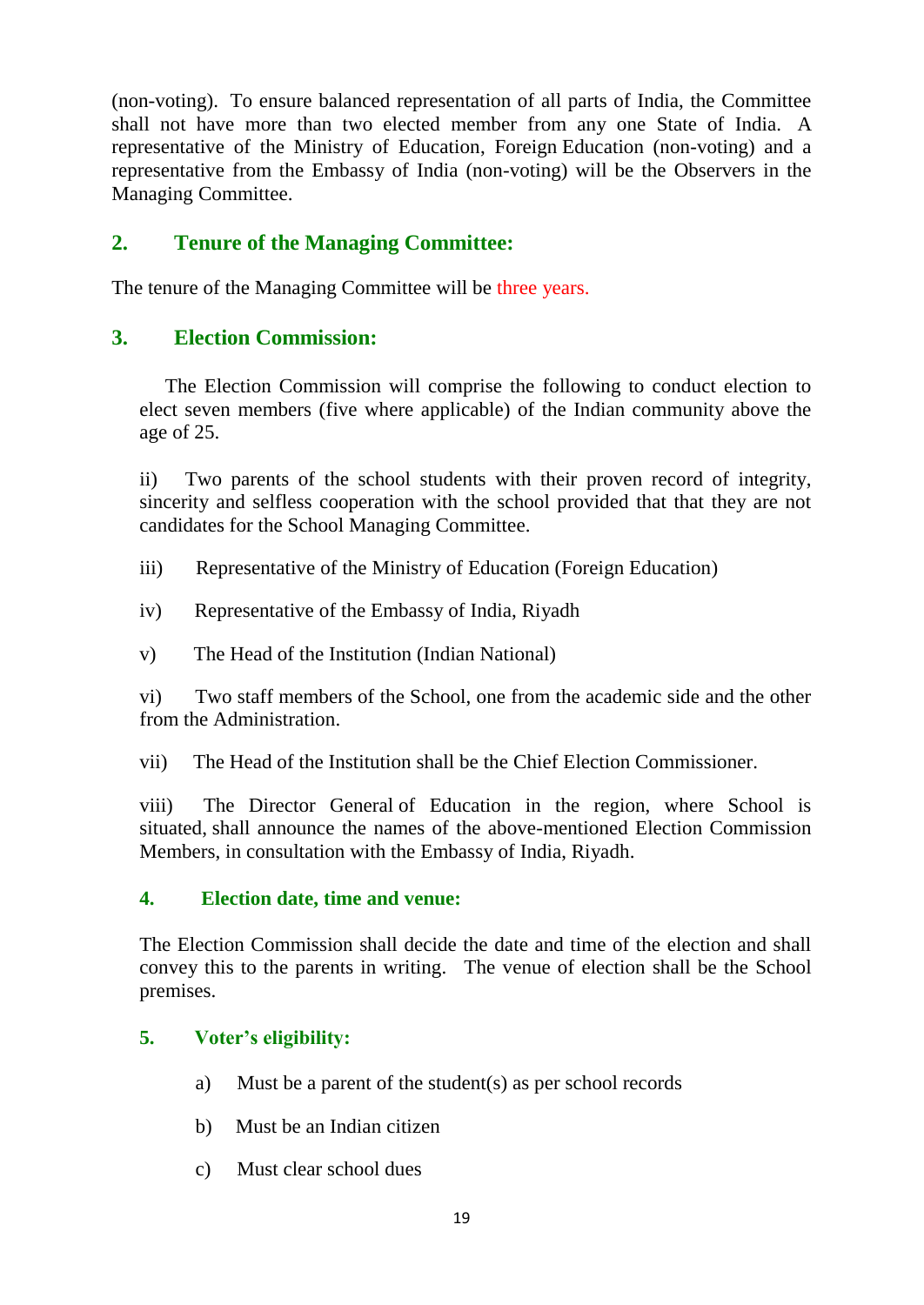(non-voting). To ensure balanced representation of all parts of India, the Committee shall not have more than two elected member from any one State of India. A representative of the Ministry of Education, Foreign Education (non-voting) and a representative from the Embassy of India (non-voting) will be the Observers in the Managing Committee.

## **2. Tenure of the Managing Committee:**

The tenure of the Managing Committee will be three years.

#### **3. Election Commission:**

The Election Commission will comprise the following to conduct election to elect seven members (five where applicable) of the Indian community above the age of 25.

ii) Two parents of the school students with their proven record of integrity, sincerity and selfless cooperation with the school provided that that they are not candidates for the School Managing Committee.

- iii) Representative of the Ministry of Education (Foreign Education)
- iv) Representative of the Embassy of India, Riyadh
- v) The Head of the Institution (Indian National)

vi) Two staff members of the School, one from the academic side and the other from the Administration.

vii) The Head of the Institution shall be the Chief Election Commissioner.

viii) The Director General of Education in the region, where School is situated, shall announce the names of the above-mentioned Election Commission Members, in consultation with the Embassy of India, Riyadh.

#### **4. Election date, time and venue:**

The Election Commission shall decide the date and time of the election and shall convey this to the parents in writing. The venue of election shall be the School premises.

#### **5. Voter's eligibility:**

- a) Must be a parent of the student(s) as per school records
- b) Must be an Indian citizen
- c) Must clear school dues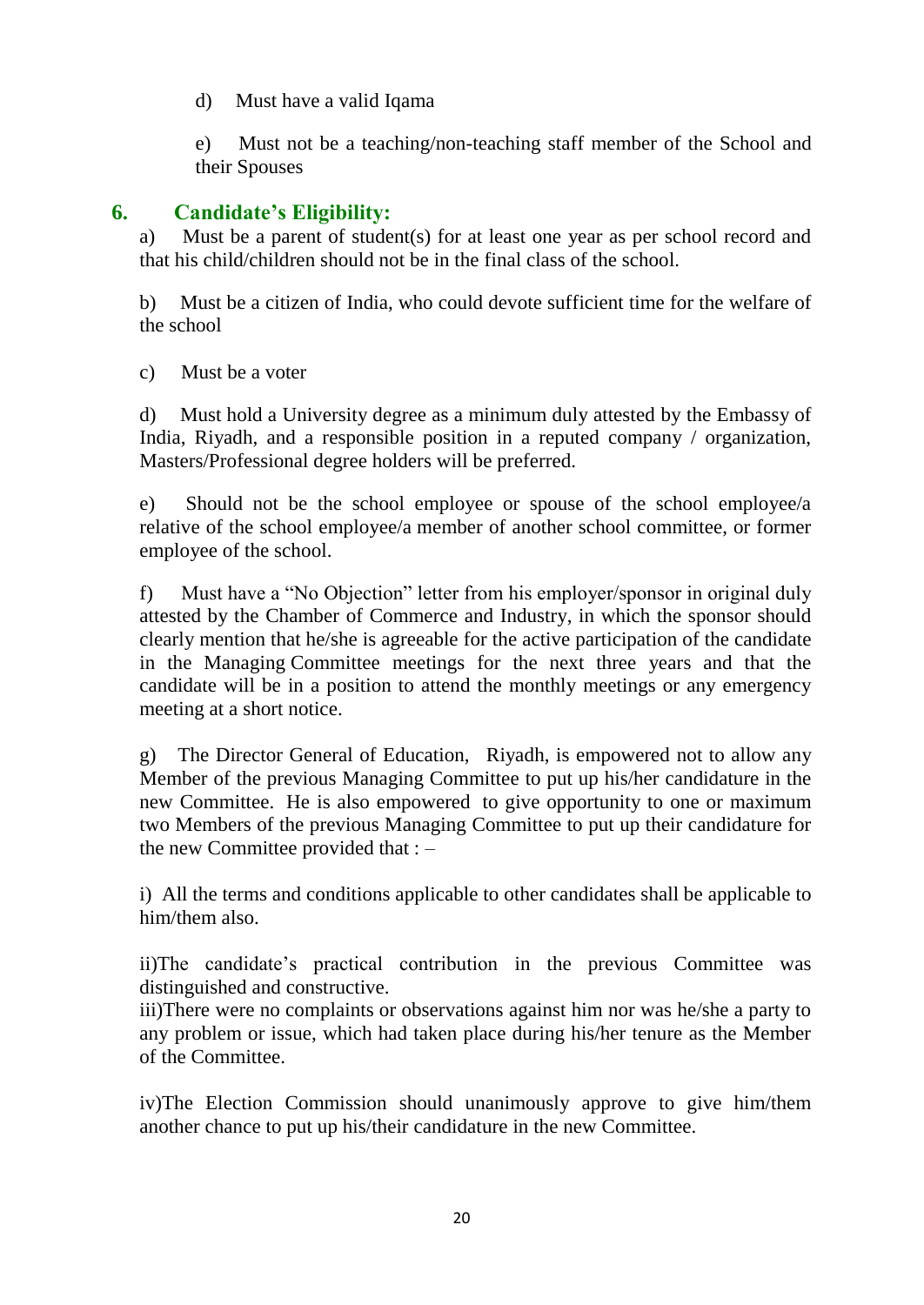d) Must have a valid Iqama

e) Must not be a teaching/non-teaching staff member of the School and their Spouses

## **6. Candidate's Eligibility:**

a) Must be a parent of student(s) for at least one year as per school record and that his child/children should not be in the final class of the school.

b) Must be a citizen of India, who could devote sufficient time for the welfare of the school

c) Must be a voter

d) Must hold a University degree as a minimum duly attested by the Embassy of India, Riyadh, and a responsible position in a reputed company / organization, Masters/Professional degree holders will be preferred.

e) Should not be the school employee or spouse of the school employee/a relative of the school employee/a member of another school committee, or former employee of the school.

f) Must have a "No Objection" letter from his employer/sponsor in original duly attested by the Chamber of Commerce and Industry, in which the sponsor should clearly mention that he/she is agreeable for the active participation of the candidate in the Managing Committee meetings for the next three years and that the candidate will be in a position to attend the monthly meetings or any emergency meeting at a short notice.

g) The Director General of Education, Riyadh, is empowered not to allow any Member of the previous Managing Committee to put up his/her candidature in the new Committee. He is also empowered to give opportunity to one or maximum two Members of the previous Managing Committee to put up their candidature for the new Committee provided that : –

i) All the terms and conditions applicable to other candidates shall be applicable to him/them also.

ii)The candidate's practical contribution in the previous Committee was distinguished and constructive.

iii)There were no complaints or observations against him nor was he/she a party to any problem or issue, which had taken place during his/her tenure as the Member of the Committee.

iv)The Election Commission should unanimously approve to give him/them another chance to put up his/their candidature in the new Committee.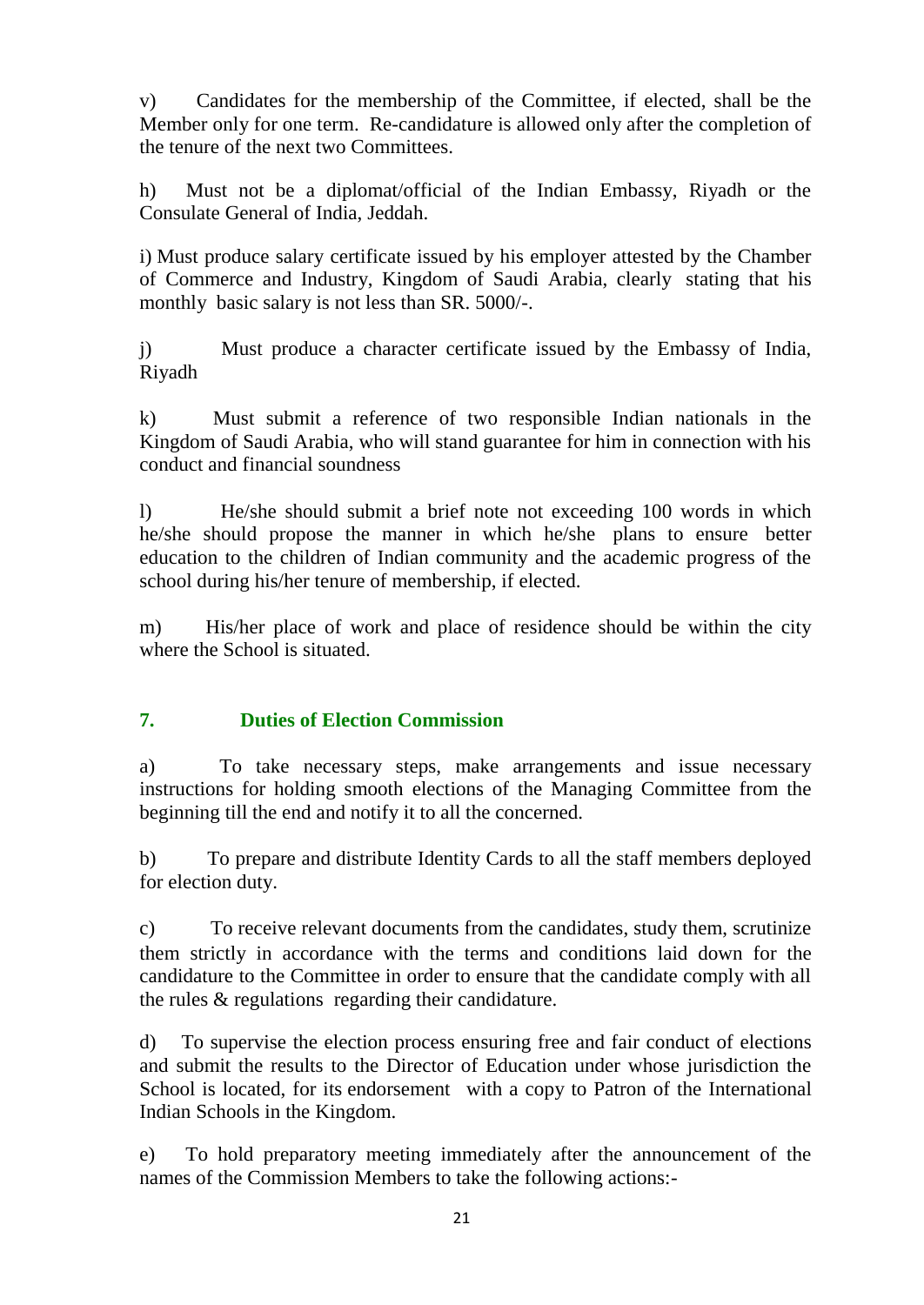v) Candidates for the membership of the Committee, if elected, shall be the Member only for one term. Re-candidature is allowed only after the completion of the tenure of the next two Committees.

h) Must not be a diplomat/official of the Indian Embassy, Riyadh or the Consulate General of India, Jeddah.

i) Must produce salary certificate issued by his employer attested by the Chamber of Commerce and Industry, Kingdom of Saudi Arabia, clearly stating that his monthly basic salary is not less than SR. 5000/-.

j) Must produce a character certificate issued by the Embassy of India, Riyadh

k) Must submit a reference of two responsible Indian nationals in the Kingdom of Saudi Arabia, who will stand guarantee for him in connection with his conduct and financial soundness

l) He/she should submit a brief note not exceeding 100 words in which he/she should propose the manner in which he/she plans to ensure better education to the children of Indian community and the academic progress of the school during his/her tenure of membership, if elected.

m) His/her place of work and place of residence should be within the city where the School is situated.

## **7. Duties of Election Commission**

a) To take necessary steps, make arrangements and issue necessary instructions for holding smooth elections of the Managing Committee from the beginning till the end and notify it to all the concerned.

b) To prepare and distribute Identity Cards to all the staff members deployed for election duty.

c) To receive relevant documents from the candidates, study them, scrutinize them strictly in accordance with the terms and conditions laid down for the candidature to the Committee in order to ensure that the candidate comply with all the rules & regulations regarding their candidature.

d) To supervise the election process ensuring free and fair conduct of elections and submit the results to the Director of Education under whose jurisdiction the School is located, for its endorsement with a copy to Patron of the International Indian Schools in the Kingdom.

e) To hold preparatory meeting immediately after the announcement of the names of the Commission Members to take the following actions:-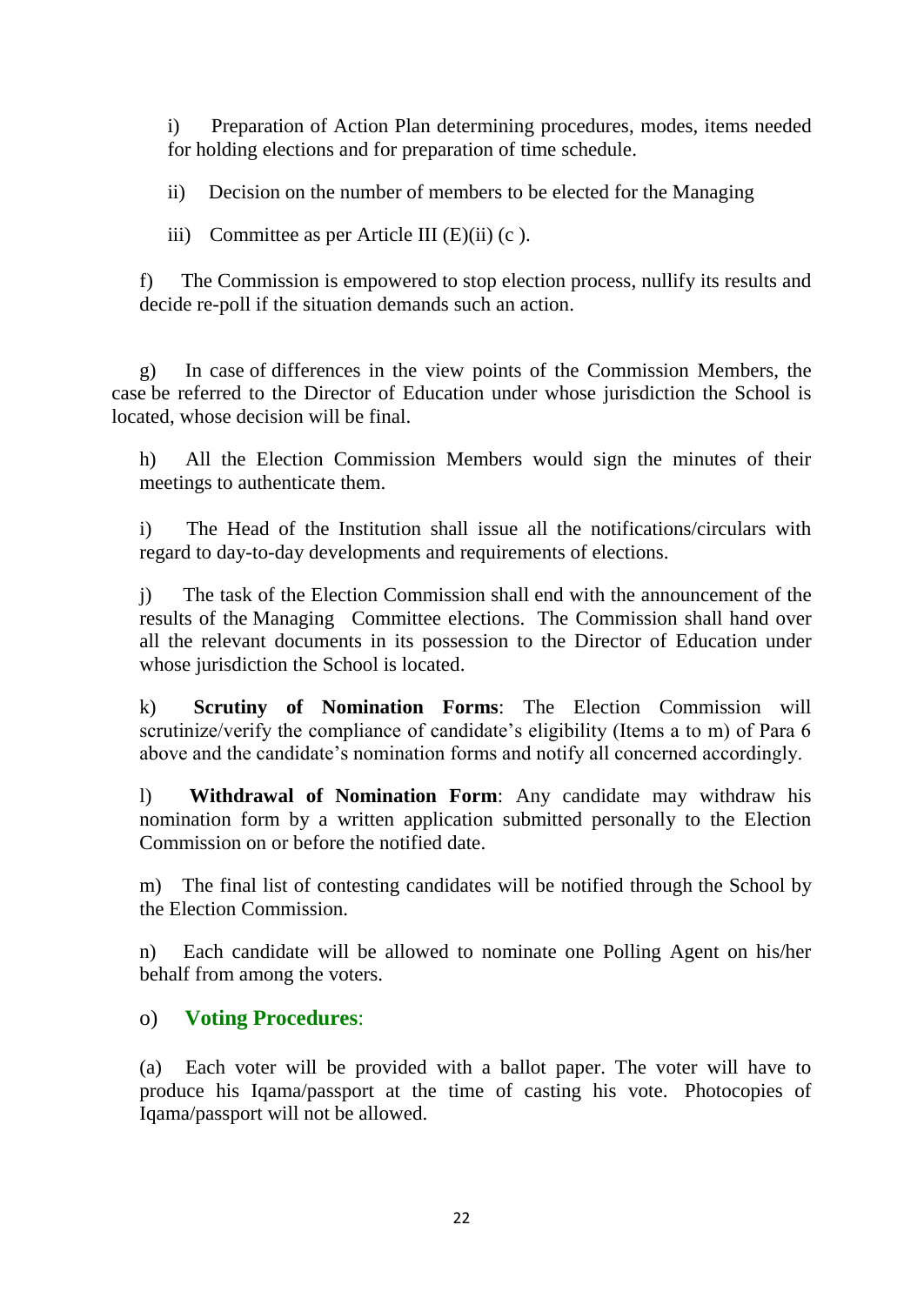i) Preparation of Action Plan determining procedures, modes, items needed for holding elections and for preparation of time schedule.

ii) Decision on the number of members to be elected for the Managing

iii) Committee as per Article III  $(E)(ii)$  (c).

f) The Commission is empowered to stop election process, nullify its results and decide re-poll if the situation demands such an action.

g) In case of differences in the view points of the Commission Members, the case be referred to the Director of Education under whose jurisdiction the School is located, whose decision will be final.

h) All the Election Commission Members would sign the minutes of their meetings to authenticate them.

i) The Head of the Institution shall issue all the notifications/circulars with regard to day-to-day developments and requirements of elections.

j) The task of the Election Commission shall end with the announcement of the results of the Managing Committee elections. The Commission shall hand over all the relevant documents in its possession to the Director of Education under whose jurisdiction the School is located.

k) **Scrutiny of Nomination Forms**: The Election Commission will scrutinize/verify the compliance of candidate's eligibility (Items a to m) of Para 6 above and the candidate's nomination forms and notify all concerned accordingly.

l) **Withdrawal of Nomination Form**: Any candidate may withdraw his nomination form by a written application submitted personally to the Election Commission on or before the notified date.

m) The final list of contesting candidates will be notified through the School by the Election Commission.

n) Each candidate will be allowed to nominate one Polling Agent on his/her behalf from among the voters.

## o) **Voting Procedures**:

(a) Each voter will be provided with a ballot paper. The voter will have to produce his Iqama/passport at the time of casting his vote. Photocopies of Iqama/passport will not be allowed.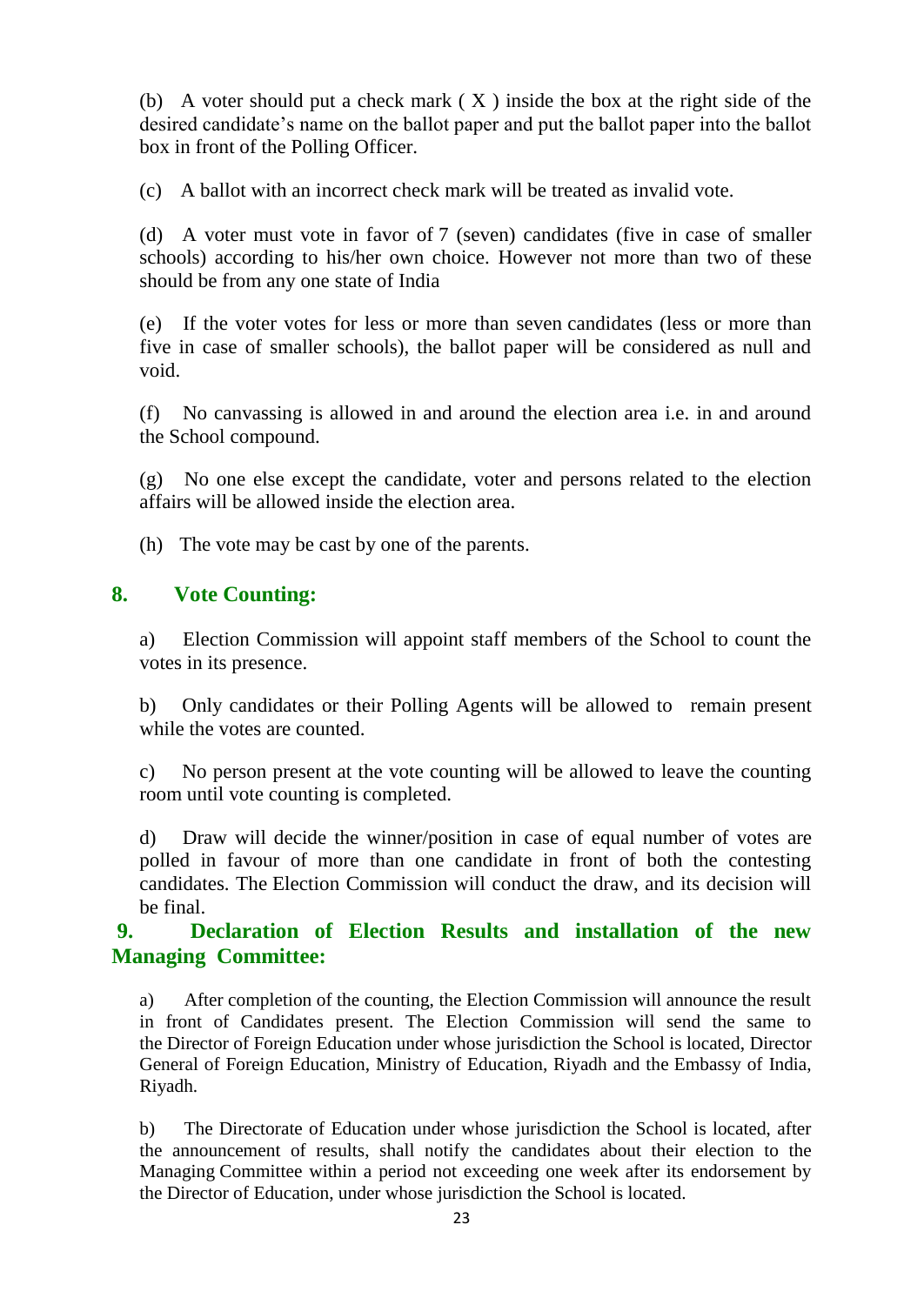(b) A voter should put a check mark  $(X)$  inside the box at the right side of the desired candidate's name on the ballot paper and put the ballot paper into the ballot box in front of the Polling Officer.

(c) A ballot with an incorrect check mark will be treated as invalid vote.

(d) A voter must vote in favor of 7 (seven) candidates (five in case of smaller schools) according to his/her own choice. However not more than two of these should be from any one state of India

(e) If the voter votes for less or more than seven candidates (less or more than five in case of smaller schools), the ballot paper will be considered as null and void.

(f) No canvassing is allowed in and around the election area i.e. in and around the School compound.

(g) No one else except the candidate, voter and persons related to the election affairs will be allowed inside the election area.

(h) The vote may be cast by one of the parents.

## **8. Vote Counting:**

a) Election Commission will appoint staff members of the School to count the votes in its presence.

b) Only candidates or their Polling Agents will be allowed to remain present while the votes are counted.

c) No person present at the vote counting will be allowed to leave the counting room until vote counting is completed.

d) Draw will decide the winner/position in case of equal number of votes are polled in favour of more than one candidate in front of both the contesting candidates. The Election Commission will conduct the draw, and its decision will be final.

## **9. Declaration of Election Results and installation of the new Managing Committee:**

a) After completion of the counting, the Election Commission will announce the result in front of Candidates present. The Election Commission will send the same to the Director of Foreign Education under whose jurisdiction the School is located, Director General of Foreign Education, Ministry of Education, Riyadh and the Embassy of India, Riyadh.

b) The Directorate of Education under whose jurisdiction the School is located, after the announcement of results, shall notify the candidates about their election to the Managing Committee within a period not exceeding one week after its endorsement by the Director of Education, under whose jurisdiction the School is located.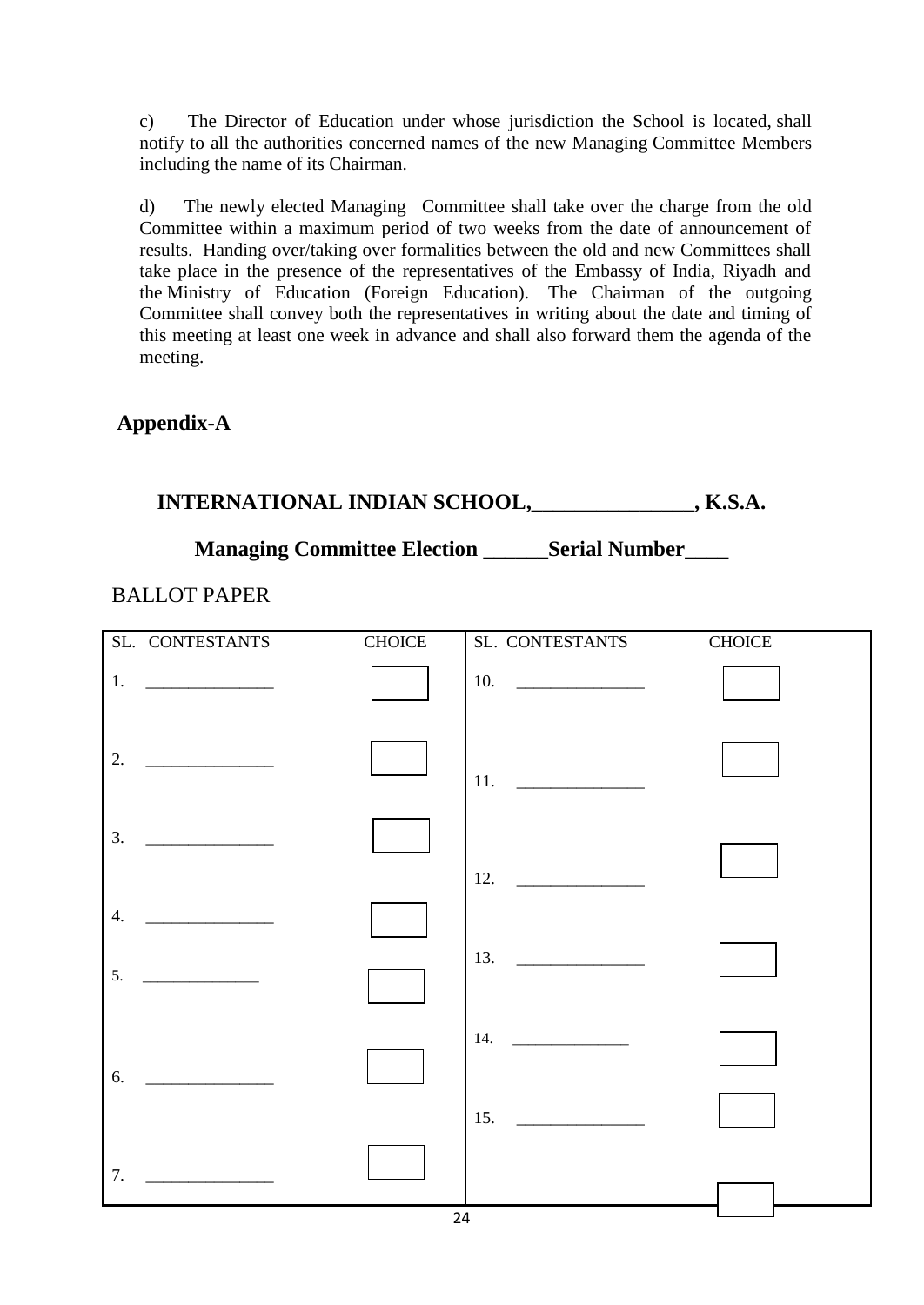c) The Director of Education under whose jurisdiction the School is located, shall notify to all the authorities concerned names of the new Managing Committee Members including the name of its Chairman.

d) The newly elected Managing Committee shall take over the charge from the old Committee within a maximum period of two weeks from the date of announcement of results. Handing over/taking over formalities between the old and new Committees shall take place in the presence of the representatives of the Embassy of India, Riyadh and the Ministry of Education (Foreign Education). The Chairman of the outgoing Committee shall convey both the representatives in writing about the date and timing of this meeting at least one week in advance and shall also forward them the agenda of the meeting.

## **Appendix-A**

# **INTERNATIONAL INDIAN SCHOOL,\_\_\_\_\_\_\_\_\_\_\_\_\_\_\_, K.S.A.**

## **Managing Committee Election \_\_\_\_\_\_Serial Number\_\_\_\_**

#### BALLOT PAPER

| $\ensuremath{\mathsf{CHOICE}}$<br>$\ensuremath{\mathsf{CHOICE}}$<br>SL. CONTESTANTS<br>SL. CONTESTANTS                      |  |
|-----------------------------------------------------------------------------------------------------------------------------|--|
| 10. $\qquad \qquad$<br>1.                                                                                                   |  |
| 2.<br>11. $\qquad$                                                                                                          |  |
| 3.                                                                                                                          |  |
| 12.<br>4.                                                                                                                   |  |
| 13. $\qquad \qquad$<br>5.                                                                                                   |  |
| 14. $\qquad \qquad$<br>6.                                                                                                   |  |
| 15.<br><u> Alexandria de la contrada de la contrada de la contrada de la contrada de la contrada de la contrada de la c</u> |  |
| 7.                                                                                                                          |  |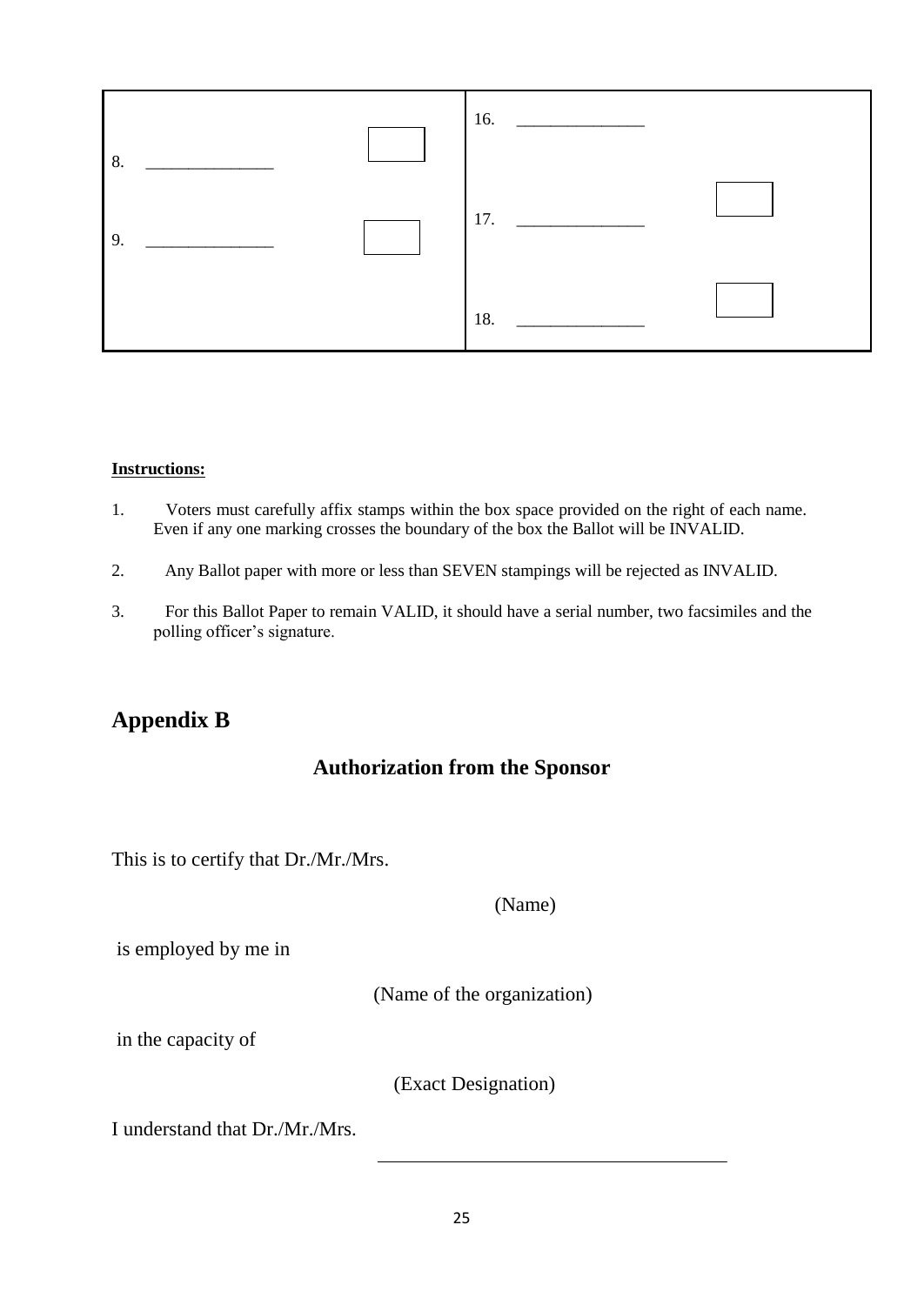

#### **Instructions:**

- 1. Voters must carefully affix stamps within the box space provided on the right of each name. Even if any one marking crosses the boundary of the box the Ballot will be INVALID.
- 2. Any Ballot paper with more or less than SEVEN stampings will be rejected as INVALID.
- 3. For this Ballot Paper to remain VALID, it should have a serial number, two facsimiles and the polling officer's signature.

## **Appendix B**

#### **Authorization from the Sponsor**

This is to certify that Dr./Mr./Mrs.

(Name)

is employed by me in

(Name of the organization)

in the capacity of

(Exact Designation)

I understand that Dr./Mr./Mrs.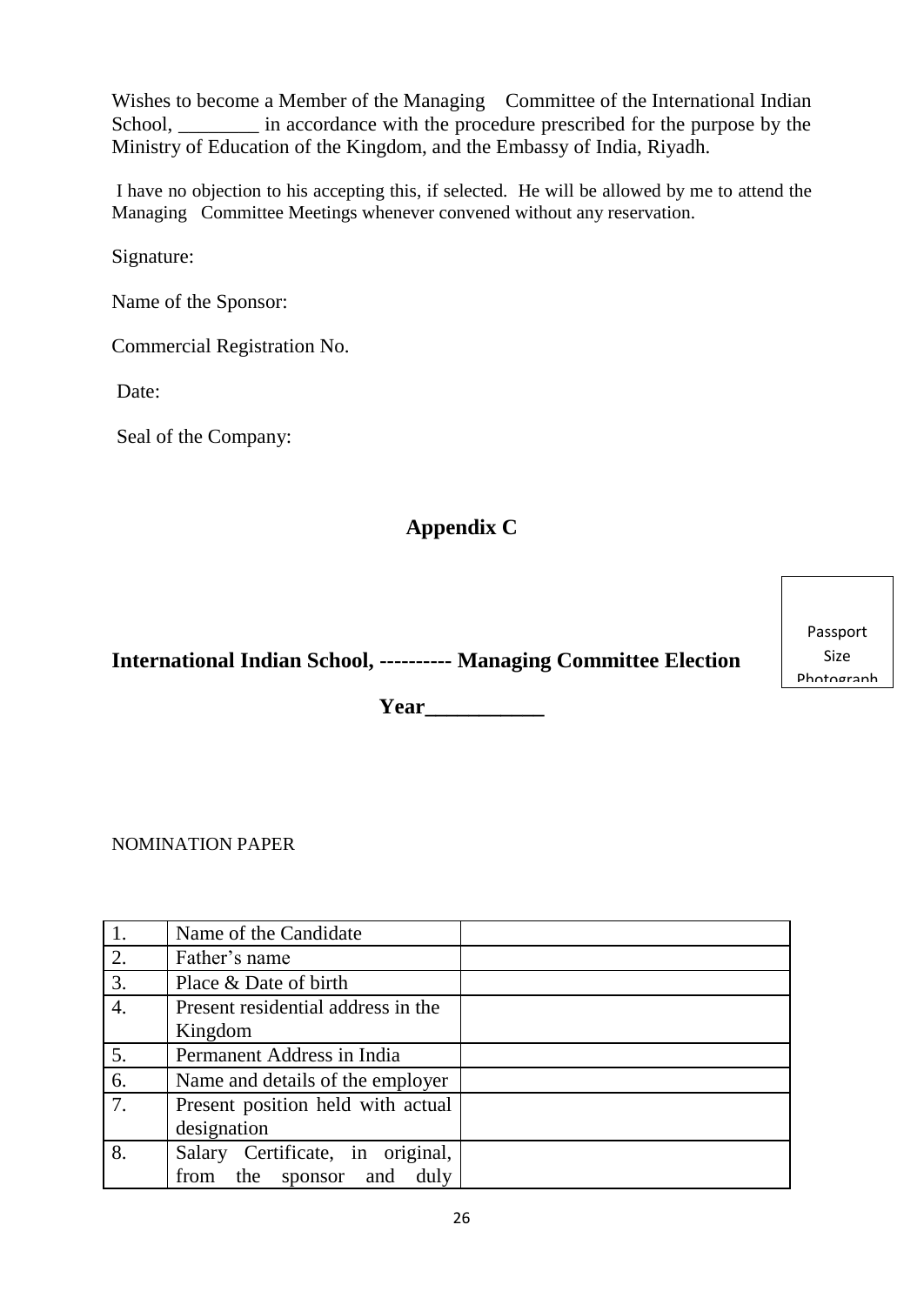Wishes to become a Member of the Managing Committee of the International Indian School, \_\_\_\_\_\_\_\_ in accordance with the procedure prescribed for the purpose by the Ministry of Education of the Kingdom, and the Embassy of India, Riyadh.

I have no objection to his accepting this, if selected. He will be allowed by me to attend the Managing Committee Meetings whenever convened without any reservation.

Signature:

Name of the Sponsor:

Commercial Registration No.

Date:

Seal of the Company:

## **Appendix C**

**International Indian School, ---------- Managing Committee Election**

**Year\_\_\_\_\_\_\_\_\_\_\_**

NOMINATION PAPER

|    | Name of the Candidate              |
|----|------------------------------------|
| 2. | Father's name                      |
| 3. | Place & Date of birth              |
| 4. | Present residential address in the |
|    | Kingdom                            |
| 5. | Permanent Address in India         |
| 6. | Name and details of the employer   |
| 7. | Present position held with actual  |
|    | designation                        |
| 8. | Salary Certificate, in original,   |
|    | and<br>duly<br>the sponsor<br>from |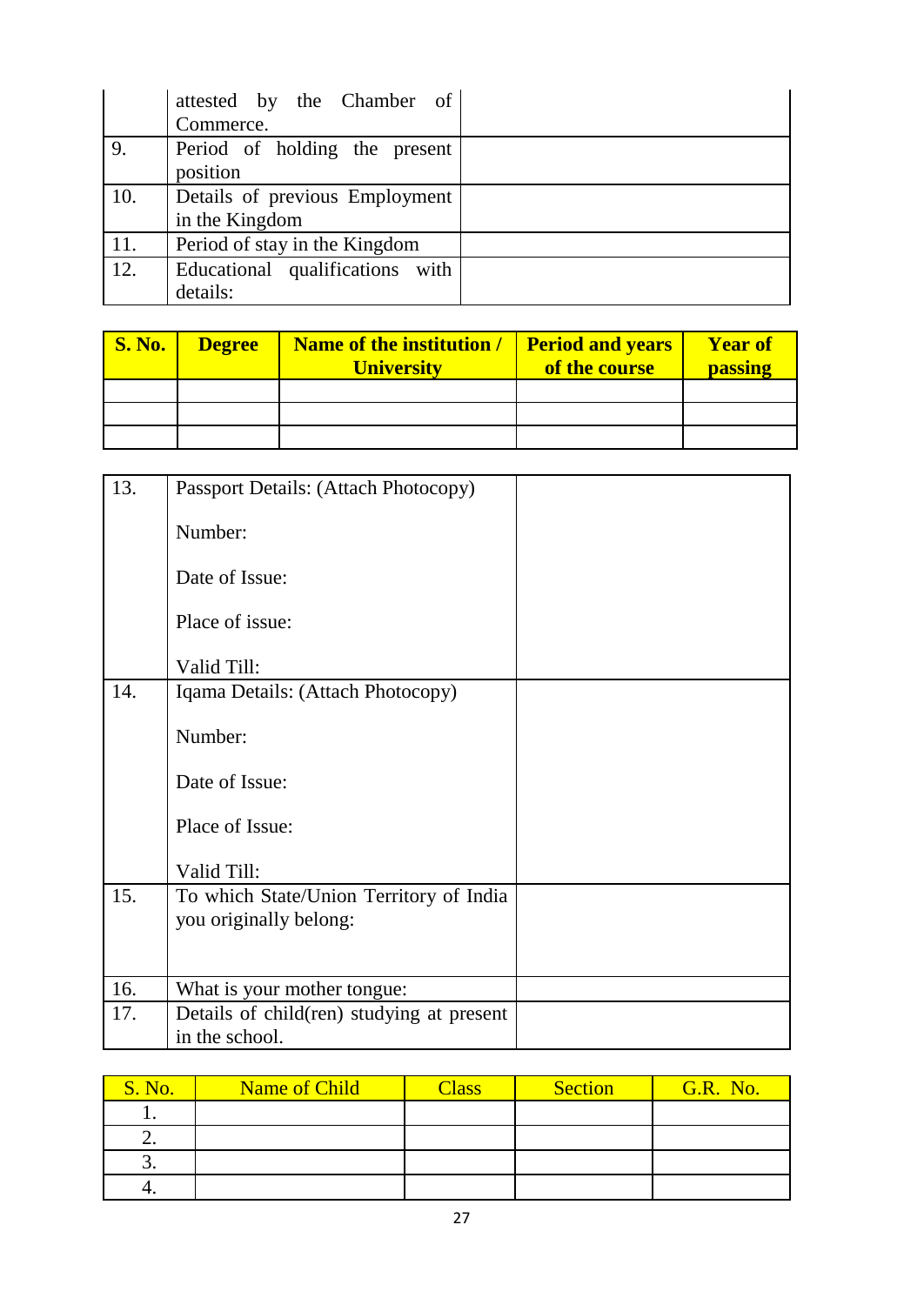|     | attested by the Chamber of      |
|-----|---------------------------------|
|     | Commerce.                       |
| 9.  | Period of holding the present   |
|     | position                        |
| 10. | Details of previous Employment  |
|     | in the Kingdom                  |
| 11. | Period of stay in the Kingdom   |
| 12. | Educational qualifications with |
|     | details:                        |

| <b>S. No.</b> | <b>Degree</b> | Name of the institution /<br><b>University</b> | <b>Period and years</b><br>of the course | <b>Year of</b><br>passing |
|---------------|---------------|------------------------------------------------|------------------------------------------|---------------------------|
|               |               |                                                |                                          |                           |
|               |               |                                                |                                          |                           |
|               |               |                                                |                                          |                           |

| 13. | Passport Details: (Attach Photocopy)                              |  |
|-----|-------------------------------------------------------------------|--|
|     | Number:                                                           |  |
|     | Date of Issue:                                                    |  |
|     | Place of issue:                                                   |  |
|     | Valid Till:                                                       |  |
| 14. | Iqama Details: (Attach Photocopy)                                 |  |
|     | Number:                                                           |  |
|     | Date of Issue:                                                    |  |
|     | Place of Issue:                                                   |  |
|     | Valid Till:                                                       |  |
| 15. | To which State/Union Territory of India<br>you originally belong: |  |
|     |                                                                   |  |
| 16. | What is your mother tongue:                                       |  |
| 17. | Details of child(ren) studying at present<br>in the school.       |  |

| <b>S. No.</b> | Name of Child | <b>Class</b> | <b>Section</b> | <b>G.R. No.</b> |
|---------------|---------------|--------------|----------------|-----------------|
|               |               |              |                |                 |
|               |               |              |                |                 |
| ັ.            |               |              |                |                 |
|               |               |              |                |                 |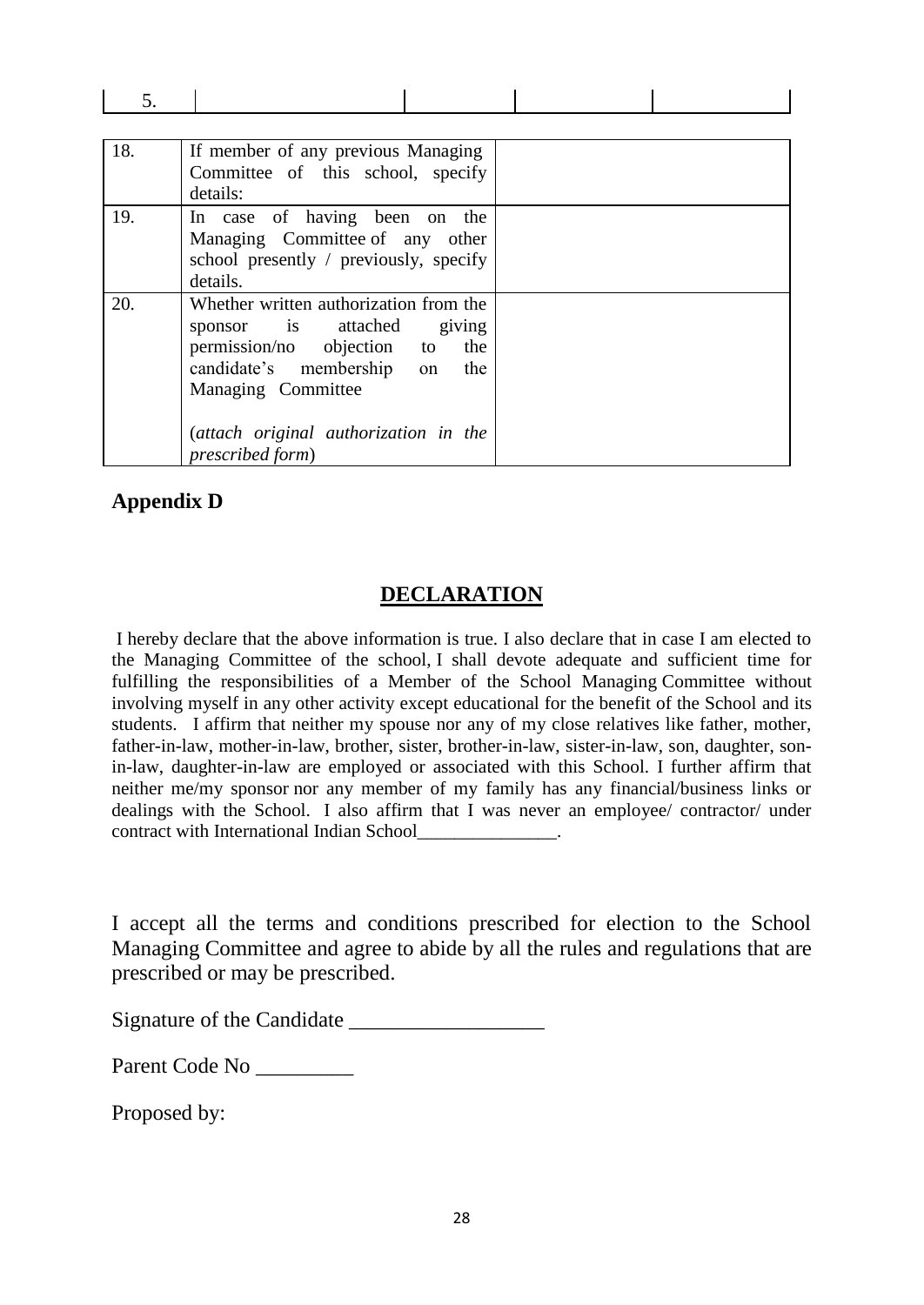| 18. | If member of any previous Managing<br>Committee of this school, specify<br>details:                                                                                                                                                 |  |
|-----|-------------------------------------------------------------------------------------------------------------------------------------------------------------------------------------------------------------------------------------|--|
| 19. | In case of having been on the<br>Managing Committee of any other<br>school presently / previously, specify<br>details.                                                                                                              |  |
| 20. | Whether written authorization from the<br>sponsor is attached<br>giving<br>permission/no objection to<br>the<br>candidate's membership on<br>the<br>Managing Committee<br>(attach original authorization in the<br>prescribed form) |  |

#### **Appendix D**

## **DECLARATION**

I hereby declare that the above information is true. I also declare that in case I am elected to the Managing Committee of the school, I shall devote adequate and sufficient time for fulfilling the responsibilities of a Member of the School Managing Committee without involving myself in any other activity except educational for the benefit of the School and its students. I affirm that neither my spouse nor any of my close relatives like father, mother, father-in-law, mother-in-law, brother, sister, brother-in-law, sister-in-law, son, daughter, sonin-law, daughter-in-law are employed or associated with this School. I further affirm that neither me/my sponsor nor any member of my family has any financial/business links or dealings with the School. I also affirm that I was never an employee/ contractor/ under contract with International Indian School\_\_\_\_\_\_\_\_\_\_\_\_\_\_\_.

I accept all the terms and conditions prescribed for election to the School Managing Committee and agree to abide by all the rules and regulations that are prescribed or may be prescribed.

Signature of the Candidate \_\_\_\_\_\_\_\_\_\_\_\_\_\_\_\_\_\_

Parent Code No \_\_\_\_\_\_\_\_\_

Proposed by: